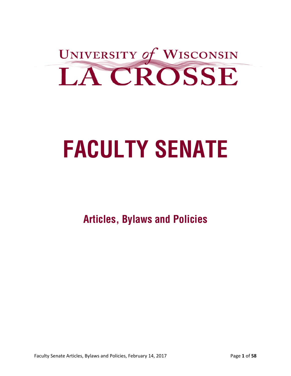

# **FACULTY SENATE**

**Articles, Bylaws and Policies**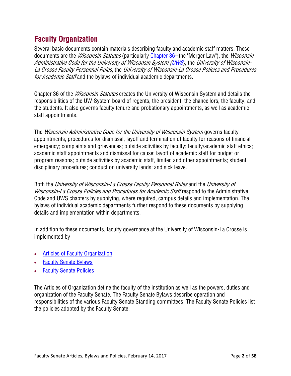# **Faculty Organization**

Several basic documents contain materials describing faculty and academic staff matters. These documents are the *Wisconsin Statutes* (particularly Chapter 36--the "Merger Law"), the *Wisconsin* Administrative Code for the University of Wisconsin System (UWS), the University of Wisconsin-La Crosse Faculty Personnel Rules, the University of Wisconsin-La Crosse Policies and Procedures for Academic Staff and the bylaws of individual academic departments.

Chapter 36 of the *Wisconsin Statutes* creates the University of Wisconsin System and details the responsibilities of the UW-System board of regents, the president, the chancellors, the faculty, and the students. It also governs faculty tenure and probationary appointments, as well as academic staff appointments.

The *Wisconsin Administrative Code for the University of Wisconsin System* governs faculty appointments; procedures for dismissal, layoff and termination of faculty for reasons of financial emergency; complaints and grievances; outside activities by faculty; faculty/academic staff ethics; academic staff appointments and dismissal for cause; layoff of academic staff for budget or program reasons; outside activities by academic staff, limited and other appointments; student disciplinary procedures; conduct on university lands; and sick leave.

Both the University of Wisconsin-La Crosse Faculty Personnel Rules and the University of Wisconsin-La Crosse Policies and Procedures for Academic Staff respond to the Administrative Code and UWS chapters by supplying, where required, campus details and implementation. The bylaws of individual academic departments further respond to these documents by supplying details and implementation within departments.

In addition to these documents, faculty governance at the University of Wisconsin-La Crosse is implemented by

- Articles of Faculty Organization
- Faculty Senate Bylaws
- **Faculty Senate Policies**

The Articles of Organization define the faculty of the institution as well as the powers, duties and organization of the Faculty Senate. The Faculty Senate Bylaws describe operation and responsibilities of the various Faculty Senate Standing committees. The Faculty Senate Policies list the policies adopted by the Faculty Senate.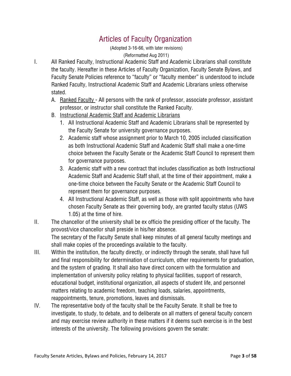# Articles of Faculty Organization

(Adopted 3-16-66, with later revisions)

(Reformatted Aug 2011)

- I. All Ranked Faculty, Instructional Academic Staff and Academic Librarians shall constitute the faculty. Hereafter in these Articles of Faculty Organization, Faculty Senate Bylaws, and Faculty Senate Policies reference to "faculty" or "faculty member" is understood to include Ranked Faculty, Instructional Academic Staff and Academic Librarians unless otherwise stated.
	- A. Ranked Faculty All persons with the rank of professor, associate professor, assistant professor, or instructor shall constitute the Ranked Faculty.
	- B. Instructional Academic Staff and Academic Librarians
		- 1. All Instructional Academic Staff and Academic Librarians shall be represented by the Faculty Senate for university governance purposes.
		- 2. Academic staff whose assignment prior to March 10, 2005 included classification as both Instructional Academic Staff and Academic Staff shall make a one-time choice between the Faculty Senate or the Academic Staff Council to represent them for governance purposes.
		- 3. Academic staff with a new contract that includes classification as both Instructional Academic Staff and Academic Staff shall, at the time of their appointment, make a one-time choice between the Faculty Senate or the Academic Staff Council to represent them for governance purposes.
		- 4. All Instructional Academic Staff, as well as those with split appointments who have chosen Faculty Senate as their governing body, are granted faculty status (UWS 1.05) at the time of hire.
- II. The chancellor of the university shall be ex officio the presiding officer of the faculty. The provost/vice chancellor shall preside in his/her absence. The secretary of the Faculty Senate shall keep minutes of all general faculty meetings and shall make copies of the proceedings available to the faculty.
- III. Within the institution, the faculty directly, or indirectly through the senate, shall have full and final responsibility for determination of curriculum, other requirements for graduation, and the system of grading. It shall also have direct concern with the formulation and implementation of university policy relating to physical facilities, support of research, educational budget, institutional organization, all aspects of student life, and personnel matters relating to academic freedom, teaching loads, salaries, appointments, reappointments, tenure, promotions, leaves and dismissals.
- IV. The representative body of the faculty shall be the Faculty Senate. It shall be free to investigate, to study, to debate, and to deliberate on all matters of general faculty concern and may exercise review authority in these matters if it deems such exercise is in the best interests of the university. The following provisions govern the senate: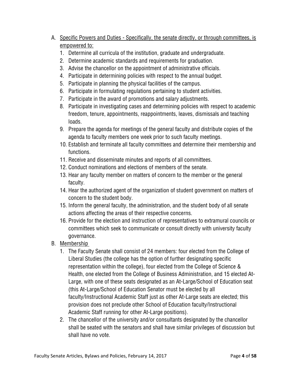- A. Specific Powers and Duties Specifically, the senate directly, or through committees, is empowered to:
	- 1. Determine all curricula of the institution, graduate and undergraduate.
	- 2. Determine academic standards and requirements for graduation.
	- 3. Advise the chancellor on the appointment of administrative officials.
	- 4. Participate in determining policies with respect to the annual budget.
	- 5. Participate in planning the physical facilities of the campus.
	- 6. Participate in formulating regulations pertaining to student activities.
	- 7. Participate in the award of promotions and salary adjustments.
	- 8. Participate in investigating cases and determining policies with respect to academic freedom, tenure, appointments, reappointments, leaves, dismissals and teaching loads.
	- 9. Prepare the agenda for meetings of the general faculty and distribute copies of the agenda to faculty members one week prior to such faculty meetings.
	- 10. Establish and terminate all faculty committees and determine their membership and functions.
	- 11. Receive and disseminate minutes and reports of all committees.
	- 12. Conduct nominations and elections of members of the senate.
	- 13. Hear any faculty member on matters of concern to the member or the general faculty.
	- 14. Hear the authorized agent of the organization of student government on matters of concern to the student body.
	- 15. Inform the general faculty, the administration, and the student body of all senate actions affecting the areas of their respective concerns.
	- 16. Provide for the election and instruction of representatives to extramural councils or committees which seek to communicate or consult directly with university faculty governance.
- B. Membership
	- 1. The Faculty Senate shall consist of 24 members: four elected from the College of Liberal Studies (the college has the option of further designating specific representation within the college), four elected from the College of Science & Health, one elected from the College of Business Administration, and 15 elected At-Large, with one of these seats designated as an At-Large/School of Education seat (this At-Large/School of Education Senator must be elected by all faculty/Instructional Academic Staff just as other At-Large seats are elected; this provision does not preclude other School of Education faculty/Instructional Academic Staff running for other At-Large positions).
	- 2. The chancellor of the university and/or consultants designated by the chancellor shall be seated with the senators and shall have similar privileges of discussion but shall have no vote.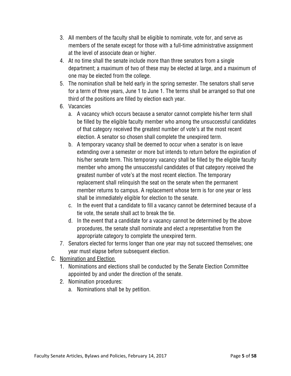- 3. All members of the faculty shall be eligible to nominate, vote for, and serve as members of the senate except for those with a full-time administrative assignment at the level of associate dean or higher.
- 4. At no time shall the senate include more than three senators from a single department; a maximum of two of these may be elected at large, and a maximum of one may be elected from the college.
- 5. The nomination shall be held early in the spring semester. The senators shall serve for a term of three years, June 1 to June 1. The terms shall be arranged so that one third of the positions are filled by election each year.
- 6. Vacancies
	- a. A vacancy which occurs because a senator cannot complete his/her term shall be filled by the eligible faculty member who among the unsuccessful candidates of that category received the greatest number of vote's at the most recent election. A senator so chosen shall complete the unexpired term.
	- b. A temporary vacancy shall be deemed to occur when a senator is on leave extending over a semester or more but intends to return before the expiration of his/her senate term. This temporary vacancy shall be filled by the eligible faculty member who among the unsuccessful candidates of that category received the greatest number of vote's at the most recent election. The temporary replacement shall relinquish the seat on the senate when the permanent member returns to campus. A replacement whose term is for one year or less shall be immediately eligible for election to the senate.
	- c. In the event that a candidate to fill a vacancy cannot be determined because of a tie vote, the senate shall act to break the tie.
	- d. In the event that a candidate for a vacancy cannot be determined by the above procedures, the senate shall nominate and elect a representative from the appropriate category to complete the unexpired term.
- 7. Senators elected for terms longer than one year may not succeed themselves; one year must elapse before subsequent election.
- C. Nomination and Election
	- 1. Nominations and elections shall be conducted by the Senate Election Committee appointed by and under the direction of the senate.
	- 2. Nomination procedures:
		- a. Nominations shall be by petition.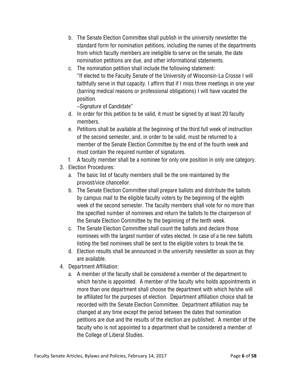- b. The Senate Election Committee shall publish in the university newsletter the standard form for nomination petitions, including the names of the departments from which faculty members are ineligible to serve on the senate, the date nomination petitions are due, and other informational statements.
- c. The nomination petition shall include the following statement: "If elected to the Faculty Senate of the University of Wisconsin-La Crosse I will faithfully serve in that capacity. I affirm that if I miss three meetings in one year (barring medical reasons or professional obligations) I will have vacated the position.

~Signature of Candidate"

- d. In order for this petition to be valid, it must be signed by at least 20 faculty members.
- e. Petitions shall be available at the beginning of the third full week of instruction of the second semester, and, in order to be valid, must be returned to a member of the Senate Election Committee by the end of the fourth week and must contain the required number of signatures.
- f. A faculty member shall be a nominee for only one position in only one category.
- 3. Election Procedures:
	- a. The basic list of faculty members shall be the one maintained by the provost/vice chancellor.
	- b. The Senate Election Committee shall prepare ballots and distribute the ballots by campus mail to the eligible faculty voters by the beginning of the eighth week of the second semester. The faculty members shall vote for no more than the specified number of nominees and return the ballots to the chairperson of the Senate Election Committee by the beginning of the tenth week.
	- c. The Senate Election Committee shall count the ballots and declare those nominees with the largest number of votes elected. In case of a tie new ballots listing the tied nominees shall be sent to the eligible voters to break the tie.
	- d. Election results shall be announced in the university newsletter as soon as they are available.
- 4. Department Affiliation:
	- a. A member of the faculty shall be considered a member of the department to which he/she is appointed. A member of the faculty who holds appointments in more than one department shall choose the department with which he/she will be affiliated for the purposes of election. Department affiliation choice shall be recorded with the Senate Election Committee. Department affiliation may be changed at any time except the period between the dates that nomination petitions are due and the results of the election are published. A member of the faculty who is not appointed to a department shall be considered a member of the College of Liberal Studies.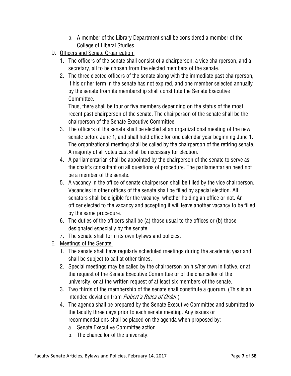- b. A member of the Library Department shall be considered a member of the College of Liberal Studies.
- D. Officers and Senate Organization
	- 1. The officers of the senate shall consist of a chairperson, a vice chairperson, and a secretary, all to be chosen from the elected members of the senate.
	- 2. The three elected officers of the senate along with the immediate past chairperson, if his or her term in the senate has not expired, and one member selected annually by the senate from its membership shall constitute the Senate Executive Committee.

Thus, there shall be four or five members depending on the status of the most recent past chairperson of the senate. The chairperson of the senate shall be the chairperson of the Senate Executive Committee.

- 3. The officers of the senate shall be elected at an organizational meeting of the new senate before June 1, and shall hold office for one calendar year beginning June 1. The organizational meeting shall be called by the chairperson of the retiring senate. A majority of all votes cast shall be necessary for election.
- 4. A parliamentarian shall be appointed by the chairperson of the senate to serve as the chair's consultant on all questions of procedure. The parliamentarian need not be a member of the senate.
- 5. A vacancy in the office of senate chairperson shall be filled by the vice chairperson. Vacancies in other offices of the senate shall be filled by special election. All senators shall be eligible for the vacancy, whether holding an office or not. An officer elected to the vacancy and accepting it will leave another vacancy to be filled by the same procedure.
- 6. The duties of the officers shall be (a) those usual to the offices or (b) those designated especially by the senate.
- 7. The senate shall form its own bylaws and policies.
- E. Meetings of the Senate
	- 1. The senate shall have regularly scheduled meetings during the academic year and shall be subject to call at other times.
	- 2. Special meetings may be called by the chairperson on his/her own initiative, or at the request of the Senate Executive Committee or of the chancellor of the university, or at the written request of at least six members of the senate.
	- 3. Two thirds of the membership of the senate shall constitute a quorum. (This is an intended deviation from *Robert's Rules of Order.*)
	- 4. The agenda shall be prepared by the Senate Executive Committee and submitted to the faculty three days prior to each senate meeting. Any issues or recommendations shall be placed on the agenda when proposed by:
		- a. Senate Executive Committee action.
		- b. The chancellor of the university.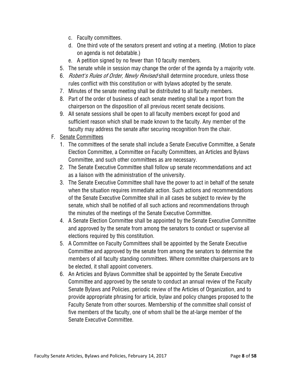- c. Faculty committees.
- d. One third vote of the senators present and voting at a meeting. (Motion to place on agenda is not debatable.)
- e. A petition signed by no fewer than 10 faculty members.
- 5. The senate while in session may change the order of the agenda by a majority vote.
- 6. *Robert's Rules of Order, Newly Revised* shall determine procedure, unless those rules conflict with this constitution or with bylaws adopted by the senate.
- 7. Minutes of the senate meeting shall be distributed to all faculty members.
- 8. Part of the order of business of each senate meeting shall be a report from the chairperson on the disposition of all previous recent senate decisions.
- 9. All senate sessions shall be open to all faculty members except for good and sufficient reason which shall be made known to the faculty. Any member of the faculty may address the senate after securing recognition from the chair.
- F. Senate Committees
	- 1. The committees of the senate shall include a Senate Executive Committee, a Senate Election Committee, a Committee on Faculty Committees, an Articles and Bylaws Committee, and such other committees as are necessary.
	- 2. The Senate Executive Committee shall follow up senate recommendations and act as a liaison with the administration of the university.
	- 3. The Senate Executive Committee shall have the power to act in behalf of the senate when the situation requires immediate action. Such actions and recommendations of the Senate Executive Committee shall in all cases be subject to review by the senate, which shall be notified of all such actions and recommendations through the minutes of the meetings of the Senate Executive Committee.
	- 4. A Senate Election Committee shall be appointed by the Senate Executive Committee and approved by the senate from among the senators to conduct or supervise all elections required by this constitution.
	- 5. A Committee on Faculty Committees shall be appointed by the Senate Executive Committee and approved by the senate from among the senators to determine the members of all faculty standing committees. Where committee chairpersons are to be elected, it shall appoint conveners.
	- 6. An Articles and Bylaws Committee shall be appointed by the Senate Executive Committee and approved by the senate to conduct an annual review of the Faculty Senate Bylaws and Policies, periodic review of the Articles of Organization, and to provide appropriate phrasing for article, bylaw and policy changes proposed to the Faculty Senate from other sources. Membership of the committee shall consist of five members of the faculty, one of whom shall be the at-large member of the Senate Executive Committee.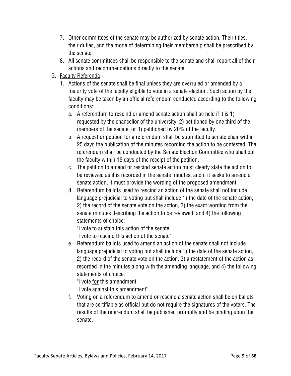- 7. Other committees of the senate may be authorized by senate action. Their titles, their duties, and the mode of determining their membership shall be prescribed by the senate.
- 8. All senate committees shall be responsible to the senate and shall report all of their actions and recommendations directly to the senate.
- G. Faculty Referenda
	- 1. Actions of the senate shall be final unless they are overruled or amended by a majority vote of the faculty eligible to vote in a senate election. Such action by the faculty may be taken by an official referendum conducted according to the following conditions:
		- a. A referendum to rescind or amend senate action shall be held if it is 1) requested by the chancellor of the university, 2) petitioned by one third of the members of the senate, or 3) petitioned by 20% of the faculty.
		- b. A request or petition for a referendum shall be submitted to senate chair within 25 days the publication of the minutes recording the action to be contested. The referendum shall be conducted by the Senate Election Committee who shall poll the faculty within 15 days of the receipt of the petition.
		- c. The petition to amend or rescind senate action must clearly state the action to be reviewed as it is recorded in the senate minutes, and if it seeks to amend a senate action, it must provide the wording of the proposed amendment.
		- d. Referendum ballots used to rescind an action of the senate shall not include language prejudicial to voting but shall include 1) the date of the senate action, 2) the record of the senate vote on the action, 3) the exact wording from the senate minutes describing the action to be reviewed, and 4) the following statements of choice:

"I vote to sustain this action of the senate

- I vote to rescind this action of the senate"
- e. Referendum ballots used to amend an action of the senate shall not include language prejudicial to voting but shall include 1) the date of the senate action, 2) the record of the senate vote on the action, 3) a restatement of the action as recorded in the minutes along with the amending language, and 4) the following statements of choice:

"I vote for this amendment

I vote against this amendment"

f. Voting on a referendum to amend or rescind a senate action shall be on ballots that are certifiable as official but do not require the signatures of the voters. The results of the referendum shall be published promptly and be binding upon the senate.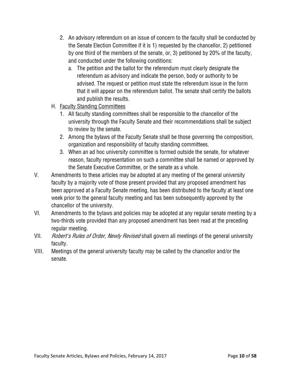- 2. An advisory referendum on an issue of concern to the faculty shall be conducted by the Senate Election Committee if it is 1) requested by the chancellor, 2) petitioned by one third of the members of the senate, or, 3) petitioned by 20% of the faculty, and conducted under the following conditions:
	- a. The petition and the ballot for the referendum must clearly designate the referendum as advisory and indicate the person, body or authority to be advised. The request or petition must state the referendum issue in the form that it will appear on the referendum ballot. The senate shall certify the ballots and publish the results.
- H. Faculty Standing Committees
	- 1. All faculty standing committees shall be responsible to the chancellor of the university through the Faculty Senate and their recommendations shall be subject to review by the senate.
	- 2. Among the bylaws of the Faculty Senate shall be those governing the composition, organization and responsibility of faculty standing committees.
	- 3. When an ad hoc university committee is formed outside the senate, for whatever reason, faculty representation on such a committee shall be named or approved by the Senate Executive Committee, or the senate as a whole.
- V. Amendments to these articles may be adopted at any meeting of the general university faculty by a majority vote of those present provided that any proposed amendment has been approved at a Faculty Senate meeting, has been distributed to the faculty at least one week prior to the general faculty meeting and has been subsequently approved by the chancellor of the university.
- VI. Amendments to the bylaws and policies may be adopted at any regular senate meeting by a two-thirds vote provided than any proposed amendment has been read at the preceding regular meeting.
- VII. *Robert's Rules of Order, Newly Revised* shall govern all meetings of the general university faculty.
- VIII. Meetings of the general university faculty may be called by the chancellor and/or the senate.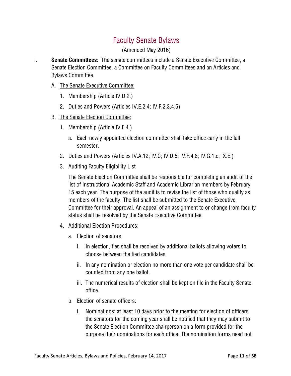# Faculty Senate Bylaws

(Amended May 2016)

- I. **Senate Committees:** The senate committees include a Senate Executive Committee, a Senate Election Committee, a Committee on Faculty Committees and an Articles and Bylaws Committee.
	- A. The Senate Executive Committee:
		- 1. Membership (Article IV.D.2.)
		- 2. Duties and Powers (Articles IV.E.2,4; IV.F.2,3,4,5)
	- B. The Senate Election Committee:
		- 1. Membership (Article IV.F.4.)
			- a. Each newly appointed election committee shall take office early in the fall semester.
		- 2. Duties and Powers (Articles IV.A.12; IV.C; IV.D.5; IV.F.4,8; IV.G.1.c; IX.E.)
		- 3. Auditing Faculty Eligibility List

The Senate Election Committee shall be responsible for completing an audit of the list of Instructional Academic Staff and Academic Librarian members by February 15 each year. The purpose of the audit is to revise the list of those who qualify as members of the faculty. The list shall be submitted to the Senate Executive Committee for their approval. An appeal of an assignment to or change from faculty status shall be resolved by the Senate Executive Committee

- 4. Additional Election Procedures:
	- a. Election of senators:
		- i. In election, ties shall be resolved by additional ballots allowing voters to choose between the tied candidates.
		- ii. In any nomination or election no more than one vote per candidate shall be counted from any one ballot.
		- iii. The numerical results of election shall be kept on file in the Faculty Senate office.
	- b. Election of senate officers:
		- i. Nominations: at least 10 days prior to the meeting for election of officers the senators for the coming year shall be notified that they may submit to the Senate Election Committee chairperson on a form provided for the purpose their nominations for each office. The nomination forms need not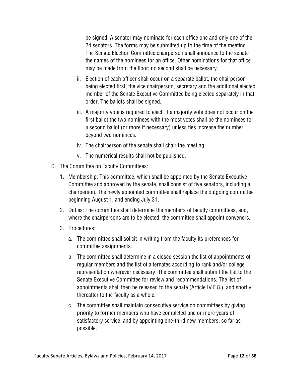be signed. A senator may nominate for each office one and only one of the 24 senators. The forms may be submitted up to the time of the meeting. The Senate Election Committee chairperson shall announce to the senate the names of the nominees for an office. Other nominations for that office may be made from the floor; no second shall be necessary.

- ii. Election of each officer shall occur on a separate ballot, the chairperson being elected first, the vice chairperson, secretary and the additional elected member of the Senate Executive Committee being elected separately in that order. The ballots shall be signed.
- iii. A majority vote is required to elect. If a majority vote does not occur on the first ballot the two nominees with the most votes shall be the nominees for a second ballot (or more if necessary) unless ties increase the number beyond two nominees.
- iv. The chairperson of the senate shall chair the meeting.
- v. The numerical results shall not be published.
- C. The Committee on Faculty Committees:
	- 1. Membership: This committee, which shall be appointed by the Senate Executive Committee and approved by the senate, shall consist of five senators, including a chairperson. The newly appointed committee shall replace the outgoing committee beginning August 1, and ending July 31.
	- 2. Duties: The committee shall determine the members of faculty committees, and, where the chairpersons are to be elected, the committee shall appoint conveners.
	- 3. Procedures:
		- a. The committee shall solicit in writing from the faculty its preferences for committee assignments.
		- b. The committee shall determine in a closed session the list of appointments of regular members and the list of alternates according to rank and/or college representation wherever necessary. The committee shall submit the list to the Senate Executive Committee for review and recommendations. The list of appointments shall then be released to the senate (Article IV.F.8.), and shortly thereafter to the faculty as a whole.
		- c. The committee shall maintain consecutive service on committees by giving priority to former members who have completed one or more years of satisfactory service, and by appointing one-third new members, so far as possible.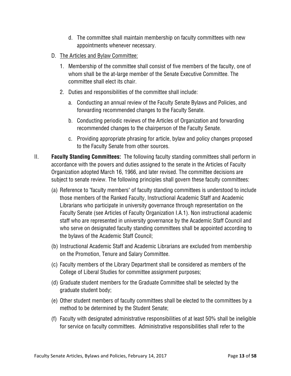- d. The committee shall maintain membership on faculty committees with new appointments whenever necessary.
- D. The Articles and Bylaw Committee:
	- 1. Membership of the committee shall consist of five members of the faculty, one of whom shall be the at-large member of the Senate Executive Committee. The committee shall elect its chair.
	- 2. Duties and responsibilities of the committee shall include:
		- a. Conducting an annual review of the Faculty Senate Bylaws and Policies, and forwarding recommended changes to the Faculty Senate.
		- b. Conducting periodic reviews of the Articles of Organization and forwarding recommended changes to the chairperson of the Faculty Senate.
		- c. Providing appropriate phrasing for article, bylaw and policy changes proposed to the Faculty Senate from other sources.
- II. **Faculty Standing Committees:** The following faculty standing committees shall perform in accordance with the powers and duties assigned to the senate in the Articles of Faculty Organization adopted March 16, 1966, and later revised. The committee decisions are subject to senate review. The following principles shall govern these faculty committees:
	- (a) Reference to "faculty members" of faculty standing committees is understood to include those members of the Ranked Faculty, Instructional Academic Staff and Academic Librarians who participate in university governance through representation on the Faculty Senate (see Articles of Faculty Organization I.A.1). Non instructional academic staff who are represented in university governance by the Academic Staff Council and who serve on designated faculty standing committees shall be appointed according to the bylaws of the Academic Staff Council;
	- (b) Instructional Academic Staff and Academic Librarians are excluded from membership on the Promotion, Tenure and Salary Committee.
	- (c) Faculty members of the Library Department shall be considered as members of the College of Liberal Studies for committee assignment purposes;
	- (d) Graduate student members for the Graduate Committee shall be selected by the graduate student body;
	- (e) Other student members of faculty committees shall be elected to the committees by a method to be determined by the Student Senate;
	- (f) Faculty with designated administrative responsibilities of at least 50% shall be ineligible for service on faculty committees. Administrative responsibilities shall refer to the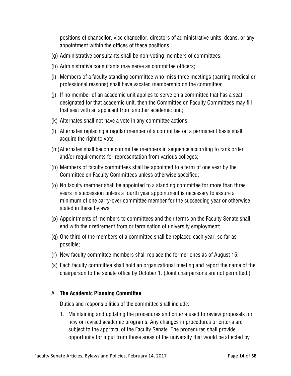positions of chancellor, vice chancellor, directors of administrative units, deans, or any appointment within the offices of these positions.

- (g) Administrative consultants shall be non-voting members of committees;
- (h) Administrative consultants may serve as committee officers;
- (i) Members of a faculty standing committee who miss three meetings (barring medical or professional reasons) shall have vacated membership on the committee;
- (j) If no member of an academic unit applies to serve on a committee that has a seat designated for that academic unit, then the Committee on Faculty Committees may fill that seat with an applicant from another academic unit;
- (k) Alternates shall not have a vote in any committee actions;
- (l) Alternates replacing a regular member of a committee on a permanent basis shall acquire the right to vote;
- (m)Alternates shall become committee members in sequence according to rank order and/or requirements for representation from various colleges;
- (n) Members of faculty committees shall be appointed to a term of one year by the Committee on Faculty Committees unless otherwise specified;
- (o) No faculty member shall be appointed to a standing committee for more than three years in succession unless a fourth year appointment is necessary to assure a minimum of one carry-over committee member for the succeeding year or otherwise stated in these bylaws;
- (p) Appointments of members to committees and their terms on the Faculty Senate shall end with their retirement from or termination of university employment;
- (q) One third of the members of a committee shall be replaced each year, so far as possible;
- (r) New faculty committee members shall replace the former ones as of August 15;
- (s) Each faculty committee shall hold an organizational meeting and report the name of the chairperson to the senate office by October 1. (Joint chairpersons are not permitted.)

# A. **The Academic Planning Committee**

Duties and responsibilities of the committee shall include:

1. Maintaining and updating the procedures and criteria used to review proposals for new or revised academic programs. Any changes in procedures or criteria are subject to the approval of the Faculty Senate. The procedures shall provide opportunity for input from those areas of the university that would be affected by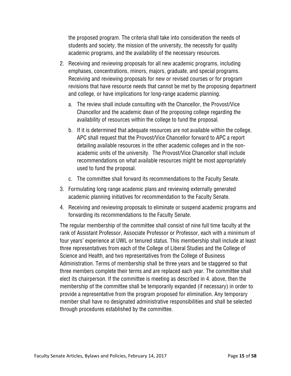the proposed program. The criteria shall take into consideration the needs of students and society, the mission of the university, the necessity for quality academic programs, and the availability of the necessary resources.

- 2. Receiving and reviewing proposals for all new academic programs, including emphases, concentrations, minors, majors, graduate, and special programs. Receiving and reviewing proposals for new or revised courses or for program revisions that have resource needs that cannot be met by the proposing department and college, or have implications for long-range academic planning.
	- a. The review shall include consulting with the Chancellor, the Provost/Vice Chancellor and the academic dean of the proposing college regarding the availability of resources within the college to fund the proposal.
	- b. If it is determined that adequate resources are not available within the college, APC shall request that the Provost/Vice Chancellor forward to APC a report detailing available resources in the other academic colleges and in the nonacademic units of the university. The Provost/Vice Chancellor shall include recommendations on what available resources might be most appropriately used to fund the proposal.
	- c. The committee shall forward its recommendations to the Faculty Senate.
- 3. Formulating long range academic plans and reviewing externally generated academic planning initiatives for recommendation to the Faculty Senate.
- 4. Receiving and reviewing proposals to eliminate or suspend academic programs and forwarding its recommendations to the Faculty Senate.

The regular membership of the committee shall consist of nine full time faculty at the rank of Assistant Professor, Associate Professor or Professor, each with a minimum of four years' experience at UWL or tenured status. This membership shall include at least three representatives from each of the College of Liberal Studies and the College of Science and Health, and two representatives from the College of Business Administration. Terms of membership shall be three years and be staggered so that three members complete their terms and are replaced each year. The committee shall elect its chairperson. If the committee is meeting as described in 4. above, then the membership of the committee shall be temporarily expanded (if necessary) in order to provide a representative from the program proposed for elimination. Any temporary member shall have no designated administrative responsibilities and shall be selected through procedures established by the committee.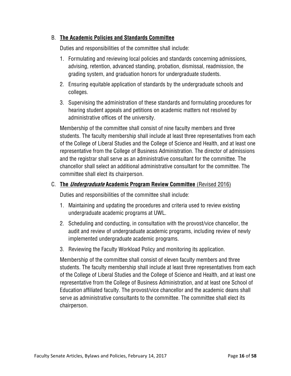#### B. **The Academic Policies and Standards Committee**

Duties and responsibilities of the committee shall include:

- 1. Formulating and reviewing local policies and standards concerning admissions, advising, retention, advanced standing, probation, dismissal, readmission, the grading system, and graduation honors for undergraduate students.
- 2. Ensuring equitable application of standards by the undergraduate schools and colleges.
- 3. Supervising the administration of these standards and formulating procedures for hearing student appeals and petitions on academic matters not resolved by administrative offices of the university.

Membership of the committee shall consist of nine faculty members and three students. The faculty membership shall include at least three representatives from each of the College of Liberal Studies and the College of Science and Health, and at least one representative from the College of Business Administration. The director of admissions and the registrar shall serve as an administrative consultant for the committee. The chancellor shall select an additional administrative consultant for the committee. The committee shall elect its chairperson.

# C. **The Undergraduate Academic Program Review Committee** (Revised 2016)

Duties and responsibilities of the committee shall include:

- 1. Maintaining and updating the procedures and criteria used to review existing undergraduate academic programs at UWL.
- 2. Scheduling and conducting, in consultation with the provost/vice chancellor, the audit and review of undergraduate academic programs, including review of newly implemented undergraduate academic programs.
- 3. Reviewing the Faculty Workload Policy and monitoring its application.

Membership of the committee shall consist of eleven faculty members and three students. The faculty membership shall include at least three representatives from each of the College of Liberal Studies and the College of Science and Health, and at least one representative from the College of Business Administration, and at least one School of Education affiliated faculty. The provost/vice chancellor and the academic deans shall serve as administrative consultants to the committee. The committee shall elect its chairperson.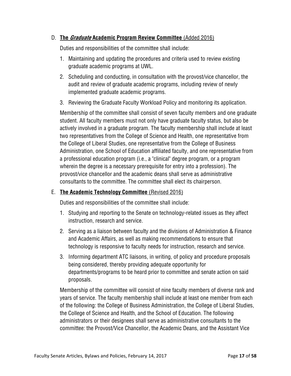#### D. **The Graduate Academic Program Review Committee** (Added 2016)

Duties and responsibilities of the committee shall include:

- 1. Maintaining and updating the procedures and criteria used to review existing graduate academic programs at UWL.
- 2. Scheduling and conducting, in consultation with the provost/vice chancellor, the audit and review of graduate academic programs, including review of newly implemented graduate academic programs.
- 3. Reviewing the Graduate Faculty Workload Policy and monitoring its application.

Membership of the committee shall consist of seven faculty members and one graduate student. All faculty members must not only have graduate faculty status, but also be actively involved in a graduate program. The faculty membership shall include at least two representatives from the College of Science and Health, one representative from the College of Liberal Studies, one representative from the College of Business Administration, one School of Education affiliated faculty, and one representative from a professional education program (i.e., a "clinical" degree program, or a program wherein the degree is a necessary prerequisite for entry into a profession). The provost/vice chancellor and the academic deans shall serve as administrative consultants to the committee. The committee shall elect its chairperson.

#### E. **The Academic Technology Committee** (Revised 2016)

Duties and responsibilities of the committee shall include:

- 1. Studying and reporting to the Senate on technology-related issues as they affect instruction, research and service.
- 2. Serving as a liaison between faculty and the divisions of Administration & Finance and Academic Affairs, as well as making recommendations to ensure that technology is responsive to faculty needs for instruction, research and service.
- 3. Informing department ATC liaisons, in writing, of policy and procedure proposals being considered, thereby providing adequate opportunity for departments/programs to be heard prior to committee and senate action on said proposals.

Membership of the committee will consist of nine faculty members of diverse rank and years of service. The faculty membership shall include at least one member from each of the following: the College of Business Administration, the College of Liberal Studies, the College of Science and Health, and the School of Education. The following administrators or their designees shall serve as administrative consultants to the committee: the Provost/Vice Chancellor, the Academic Deans, and the Assistant Vice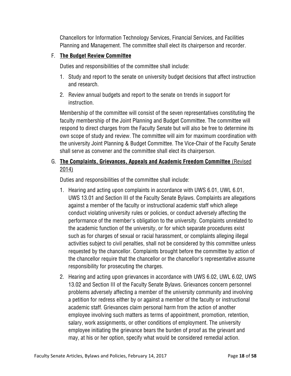Chancellors for Information Technology Services, Financial Services, and Facilities Planning and Management. The committee shall elect its chairperson and recorder.

# F. **The Budget Review Committee**

Duties and responsibilities of the committee shall include:

- 1. Study and report to the senate on university budget decisions that affect instruction and research.
- 2. Review annual budgets and report to the senate on trends in support for instruction.

Membership of the committee will consist of the seven representatives constituting the faculty membership of the Joint Planning and Budget Committee. The committee will respond to direct charges from the Faculty Senate but will also be free to determine its own scope of study and review. The committee will aim for maximum coordination with the university Joint Planning & Budget Committee. The Vice-Chair of the Faculty Senate shall serve as convener and the committee shall elect its chairperson.

# G. **The Complaints, Grievances, Appeals and Academic Freedom Committee** (Revised 2014)

Duties and responsibilities of the committee shall include:

- 1. Hearing and acting upon complaints in accordance with UWS 6.01, UWL 6.01, UWS 13.01 and Section III of the Faculty Senate Bylaws. Complaints are allegations against a member of the faculty or instructional academic staff which allege conduct violating university rules or policies, or conduct adversely affecting the performance of the member's obligation to the university. Complaints unrelated to the academic function of the university, or for which separate procedures exist such as for charges of sexual or racial harassment, or complaints alleging illegal activities subject to civil penalties, shall not be considered by this committee unless requested by the chancellor. Complaints brought before the committee by action of the chancellor require that the chancellor or the chancellor's representative assume responsibility for prosecuting the charges.
- 2. Hearing and acting upon grievances in accordance with UWS 6.02, UWL 6.02, UWS 13.02 and Section III of the Faculty Senate Bylaws. Grievances concern personnel problems adversely affecting a member of the university community and involving a petition for redress either by or against a member of the faculty or instructional academic staff. Grievances claim personal harm from the action of another employee involving such matters as terms of appointment, promotion, retention, salary, work assignments, or other conditions of employment. The university employee initiating the grievance bears the burden of proof as the grievant and may, at his or her option, specify what would be considered remedial action.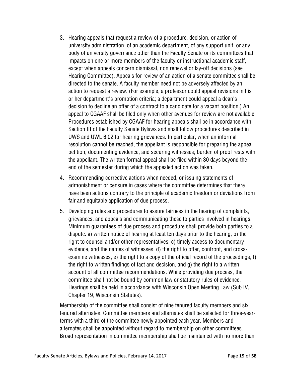- 3. Hearing appeals that request a review of a procedure, decision, or action of university administration, of an academic department, of any support unit, or any body of university governance other than the Faculty Senate or its committees that impacts on one or more members of the faculty or instructional academic staff, except when appeals concern dismissal, non renewal or lay-off decisions (see Hearing Committee). Appeals for review of an action of a senate committee shall be directed to the senate. A faculty member need not be adversely affected by an action to request a review. (For example, a professor could appeal revisions in his or her department's promotion criteria; a department could appeal a dean's decision to decline an offer of a contract to a candidate for a vacant position.) An appeal to CGAAF shall be filed only when other avenues for review are not available. Procedures established by CGAAF for hearing appeals shall be in accordance with Section III of the Faculty Senate Bylaws and shall follow procedures described in UWS and UWL 6.02 for hearing grievances. In particular, when an informal resolution cannot be reached, the appellant is responsible for preparing the appeal petition, documenting evidence, and securing witnesses; burden of proof rests with the appellant. The written formal appeal shall be filed within 30 days beyond the end of the semester during which the appealed action was taken.
- 4. Recommending corrective actions when needed, or issuing statements of admonishment or censure in cases where the committee determines that there have been actions contrary to the principle of academic freedom or deviations from fair and equitable application of due process.
- 5. Developing rules and procedures to assure fairness in the hearing of complaints, grievances, and appeals and communicating these to parties involved in hearings. Minimum guarantees of due process and procedure shall provide both parties to a dispute: a) written notice of hearing at least ten days prior to the hearing, b) the right to counsel and/or other representatives, c) timely access to documentary evidence, and the names of witnesses, d) the right to offer, confront, and crossexamine witnesses, e) the right to a copy of the official record of the proceedings, f) the right to written findings of fact and decision, and g) the right to a written account of all committee recommendations. While providing due process, the committee shall not be bound by common law or statutory rules of evidence. Hearings shall be held in accordance with Wisconsin Open Meeting Law (Sub IV, Chapter 19, Wisconsin Statutes).

Membership of the committee shall consist of nine tenured faculty members and six tenured alternates. Committee members and alternates shall be selected for three-yearterms with a third of the committee newly appointed each year. Members and alternates shall be appointed without regard to membership on other committees. Broad representation in committee membership shall be maintained with no more than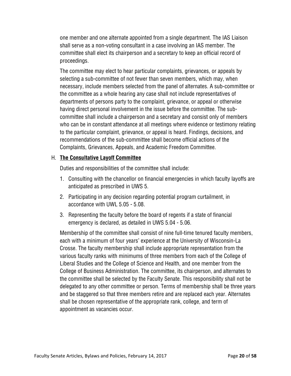one member and one alternate appointed from a single department. The IAS Liaison shall serve as a non-voting consultant in a case involving an IAS member. The committee shall elect its chairperson and a secretary to keep an official record of proceedings.

The committee may elect to hear particular complaints, grievances, or appeals by selecting a sub-committee of not fewer than seven members, which may, when necessary, include members selected from the panel of alternates. A sub-committee or the committee as a whole hearing any case shall not include representatives of departments of persons party to the complaint, grievance, or appeal or otherwise having direct personal involvement in the issue before the committee. The subcommittee shall include a chairperson and a secretary and consist only of members who can be in constant attendance at all meetings where evidence or testimony relating to the particular complaint, grievance, or appeal is heard. Findings, decisions, and recommendations of the sub-committee shall become official actions of the Complaints, Grievances, Appeals, and Academic Freedom Committee.

#### H. **The Consultative Layoff Committee**

Duties and responsibilities of the committee shall include:

- 1. Consulting with the chancellor on financial emergencies in which faculty layoffs are anticipated as prescribed in UWS 5.
- 2. Participating in any decision regarding potential program curtailment, in accordance with UWL 5.05 - 5.08.
- 3. Representing the faculty before the board of regents if a state of financial emergency is declared, as detailed in UWS 5.04 - 5.06.

Membership of the committee shall consist of nine full-time tenured faculty members, each with a minimum of four years' experience at the University of Wisconsin-La Crosse. The faculty membership shall include appropriate representation from the various faculty ranks with minimums of three members from each of the College of Liberal Studies and the College of Science and Health, and one member from the College of Business Administration. The committee, its chairperson, and alternates to the committee shall be selected by the Faculty Senate. This responsibility shall not be delegated to any other committee or person. Terms of membership shall be three years and be staggered so that three members retire and are replaced each year. Alternates shall be chosen representative of the appropriate rank, college, and term of appointment as vacancies occur.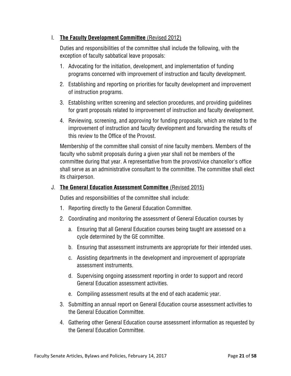#### I. **The Faculty Development Committee** (Revised 2012)

Duties and responsibilities of the committee shall include the following, with the exception of faculty sabbatical leave proposals:

- 1. Advocating for the initiation, development, and implementation of funding programs concerned with improvement of instruction and faculty development.
- 2. Establishing and reporting on priorities for faculty development and improvement of instruction programs.
- 3. Establishing written screening and selection procedures, and providing guidelines for grant proposals related to improvement of instruction and faculty development.
- 4. Reviewing, screening, and approving for funding proposals, which are related to the improvement of instruction and faculty development and forwarding the results of this review to the Office of the Provost.

Membership of the committee shall consist of nine faculty members. Members of the faculty who submit proposals during a given year shall not be members of the committee during that year. A representative from the provost/vice chancellor's office shall serve as an administrative consultant to the committee. The committee shall elect its chairperson.

#### J. **The General Education Assessment Committee** (Revised 2015)

Duties and responsibilities of the committee shall include:

- 1. Reporting directly to the General Education Committee.
- 2. Coordinating and monitoring the assessment of General Education courses by
	- a. Ensuring that all General Education courses being taught are assessed on a cycle determined by the GE committee.
	- b. Ensuring that assessment instruments are appropriate for their intended uses.
	- c. Assisting departments in the development and improvement of appropriate assessment instruments.
	- d. Supervising ongoing assessment reporting in order to support and record General Education assessment activities.
	- e. Compiling assessment results at the end of each academic year.
- 3. Submitting an annual report on General Education course assessment activities to the General Education Committee.
- 4. Gathering other General Education course assessment information as requested by the General Education Committee.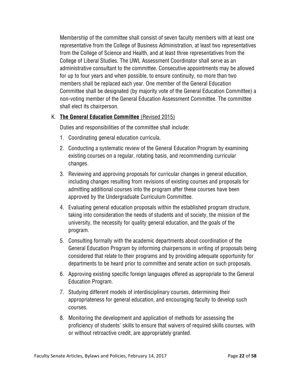Membership of the committee shall consist of seven faculty members with at least one representative from the College of Business Administration, at least two representatives from the College of Science and Health, and at least three representatives from the College of Liberal Studies. The UWL Assessment Coordinator shall serve as an administrative consultant to the committee. Consecutive appointments may be allowed for up to four years and when possible, to ensure continuity, no more than two members shall be replaced each year. One member of the General Education Committee shall be designated (by majority vote of the General Education Committee) a non-voting member of the General Education Assessment Committee. The committee shall elect its chairperson.

#### K. **The General Education Committee** (Revised 2015)

Duties and responsibilities of the committee shall include:

- 1. Coordinating general education curricula.
- 2. Conducting a systematic review of the General Education Program by examining existing courses on a regular, rotating basis, and recommending curricular changes.
- 3. Reviewing and approving proposals for curricular changes in general education, including changes resulting from revisions of existing courses and proposals for admitting additional courses into the program after these courses have been approved by the Undergraduate Curriculum Committee.
- 4. Evaluating general education proposals within the established program structure, taking into consideration the needs of students and of society, the mission of the university, the necessity for quality general education, and the goals of the program.
- 5. Consulting formally with the academic departments about coordination of the General Education Program by informing chairpersons in writing of proposals being considered that relate to their programs and by providing adequate opportunity for departments to be heard prior to committee and senate action on such proposals.
- 6. Approving existing specific foreign languages offered as appropriate to the General Education Program.
- 7. Studying different models of interdisciplinary courses, determining their appropriateness for general education, and encouraging faculty to develop such courses.
- 8. Monitoring the development and application of methods for assessing the proficiency of students' skills to ensure that waivers of required skills courses, with or without retroactive credit, are appropriately granted.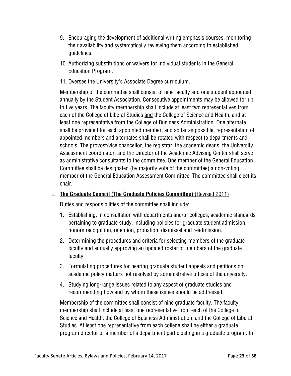- 9. Encouraging the development of additional writing emphasis courses, monitoring their availability and systematically reviewing them according to established guidelines.
- 10. Authorizing substitutions or waivers for individual students in the General Education Program.
- 11. Oversee the University's Associate Degree curriculum.

Membership of the committee shall consist of nine faculty and one student appointed annually by the Student Association. Consecutive appointments may be allowed for up to five years. The faculty membership shall include at least two representatives from each of the College of Liberal Studies and the College of Science and Health, and at least one representative from the College of Business Administration. One alternate shall be provided for each appointed member, and so far as possible, representation of appointed members and alternates shall be rotated with respect to departments and schools. The provost/vice chancellor, the registrar, the academic deans, the University Assessment coordinator, and the Director of the Academic Advising Center shall serve as administrative consultants to the committee. One member of the General Education Committee shall be designated (by majority vote of the committee) a non-voting member of the General Education Assessment Committee. The committee shall elect its chair.

# L. **The Graduate Council (The Graduate Policies Committee)** (Revised 2011)

Duties and responsibilities of the committee shall include:

- 1. Establishing, in consultation with departments and/or colleges, academic standards pertaining to graduate study, including policies for graduate student admission, honors recognition, retention, probation, dismissal and readmission.
- 2. Determining the procedures and criteria for selecting members of the graduate faculty and annually approving an updated roster of members of the graduate faculty.
- 3. Formulating procedures for hearing graduate student appeals and petitions on academic policy matters not resolved by administrative offices of the university.
- 4. Studying long-range issues related to any aspect of graduate studies and recommending how and by whom these issues should be addressed.

Membership of the committee shall consist of nine graduate faculty. The faculty membership shall include at least one representative from each of the College of Science and Health, the College of Business Administration, and the College of Liberal Studies. At least one representative from each college shall be either a graduate program director or a member of a department participating in a graduate program. In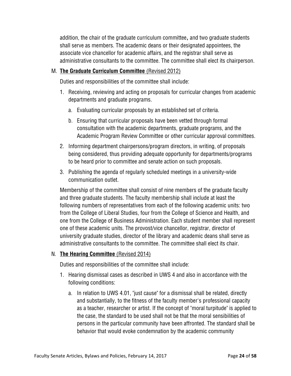addition, the chair of the graduate curriculum committee**,** and two graduate students shall serve as members. The academic deans or their designated appointees, the associate vice chancellor for academic affairs, and the registrar shall serve as administrative consultants to the committee. The committee shall elect its chairperson.

# M. **The Graduate Curriculum Committee** (Revised 2012)

Duties and responsibilities of the committee shall include:

- 1. Receiving, reviewing and acting on proposals for curricular changes from academic departments and graduate programs.
	- a. Evaluating curricular proposals by an established set of criteria.
	- b. Ensuring that curricular proposals have been vetted through formal consultation with the academic departments, graduate programs, and the Academic Program Review Committee or other curricular approval committees.
- 2. Informing department chairpersons/program directors, in writing, of proposals being considered, thus providing adequate opportunity for departments/programs to be heard prior to committee and senate action on such proposals.
- 3. Publishing the agenda of regularly scheduled meetings in a university-wide communication outlet.

Membership of the committee shall consist of nine members of the graduate faculty and three graduate students. The faculty membership shall include at least the following numbers of representatives from each of the following academic units: two from the College of Liberal Studies, four from the College of Science and Health, and one from the College of Business Administration. Each student member shall represent one of these academic units. The provost/vice chancellor, registrar, director of university graduate studies, director of the library and academic deans shall serve as administrative consultants to the committee. The committee shall elect its chair.

#### N. **The Hearing Committee** (Revised 2014)

Duties and responsibilities of the committee shall include:

- 1. Hearing dismissal cases as described in UWS 4 and also in accordance with the following conditions:
	- a. In relation to UWS 4.01, "just cause" for a dismissal shall be related, directly and substantially, to the fitness of the faculty member's professional capacity as a teacher, researcher or artist. If the concept of "moral turpitude" is applied to the case, the standard to be used shall not be that the moral sensibilities of persons in the particular community have been affronted. The standard shall be behavior that would evoke condemnation by the academic community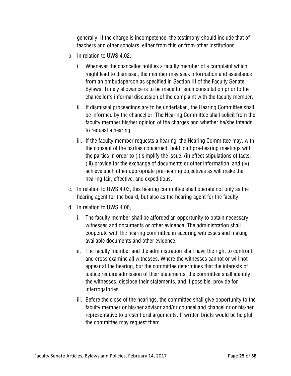generally. If the charge is incompetence, the testimony should include that of teachers and other scholars, either from this or from other institutions.

- b. In relation to UWS 4.02,
	- i. Whenever the chancellor notifies a faculty member of a complaint which might lead to dismissal, the member may seek information and assistance from an ombudsperson as specified in Section III of the Faculty Senate Bylaws. Timely allowance is to be made for such consultation prior to the chancellor's informal discussion of the complaint with the faculty member.
	- ii. If dismissal proceedings are to be undertaken, the Hearing Committee shall be informed by the chancellor. The Hearing Committee shall solicit from the faculty member his/her opinion of the charges and whether he/she intends to request a hearing.
	- iii. If the faculty member requests a hearing, the Hearing Committee may, with the consent of the parties concerned, hold joint pre-hearing meetings with the parties in order to (i) simplify the issue, (ii) effect stipulations of facts, (iii) provide for the exchange of documents or other information, and (iv) achieve such other appropriate pre-hearing objectives as will make the hearing fair, effective, and expeditious.
- c. In relation to UWS 4.03, this hearing committee shall operate not only as the hearing agent for the board, but also as the hearing agent for the faculty.
- d. In relation to UWS 4.06,
	- i. The faculty member shall be afforded an opportunity to obtain necessary witnesses and documents or other evidence. The administration shall cooperate with the hearing committee in securing witnesses and making available documents and other evidence.
	- ii. The faculty member and the administration shall have the right to confront and cross examine all witnesses. Where the witnesses cannot or will not appear at the hearing, but the committee determines that the interests of justice require admission of their statements, the committee shall identify the witnesses, disclose their statements, and if possible, provide for interrogatories.
	- iii. Before the close of the hearings, the committee shall give opportunity to the faculty member or his/her advisor and/or counsel and chancellor or his/her representative to present oral arguments. If written briefs would be helpful, the committee may request them.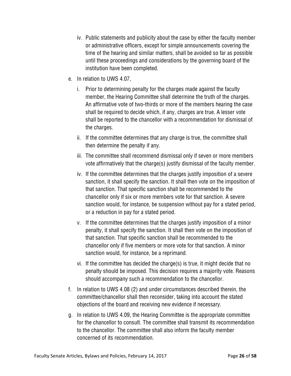- iv. Public statements and publicity about the case by either the faculty member or administrative officers, except for simple announcements covering the time of the hearing and similar matters, shall be avoided so far as possible until these proceedings and considerations by the governing board of the institution have been completed.
- e. In relation to UWS 4.07,
	- i. Prior to determining penalty for the charges made against the faculty member, the Hearing Committee shall determine the truth of the charges. An affirmative vote of two-thirds or more of the members hearing the case shall be required to decide which, if any, charges are true. A lesser vote shall be reported to the chancellor with a recommendation for dismissal of the charges.
	- ii. If the committee determines that any charge is true, the committee shall then determine the penalty if any.
	- iii. The committee shall recommend dismissal only if seven or more members vote affirmatively that the charge(s) justify dismissal of the faculty member.
	- iv. If the committee determines that the charges justify imposition of a severe sanction, it shall specify the sanction. It shall then vote on the imposition of that sanction. That specific sanction shall be recommended to the chancellor only if six or more members vote for that sanction. A severe sanction would, for instance, be suspension without pay for a stated period, or a reduction in pay for a stated period.
	- v. If the committee determines that the charges justify imposition of a minor penalty, it shall specify the sanction. It shall then vote on the imposition of that sanction. That specific sanction shall be recommended to the chancellor only if five members or more vote for that sanction. A minor sanction would, for instance, be a reprimand.
	- vi. If the committee has decided the charge(s) is true, it might decide that no penalty should be imposed. This decision requires a majority vote. Reasons should accompany such a recommendation to the chancellor.
- f. In relation to UWS 4.08 (2) and under circumstances described therein, the committee/chancellor shall then reconsider, taking into account the stated objections of the board and receiving new evidence if necessary.
- g. In relation to UWS 4.09, the Hearing Committee is the appropriate committee for the chancellor to consult. The committee shall transmit its recommendation to the chancellor. The committee shall also inform the faculty member concerned of its recommendation.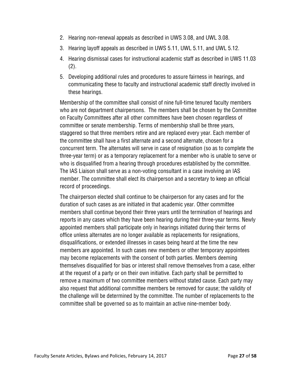- 2. Hearing non-renewal appeals as described in UWS 3.08, and UWL 3.08.
- 3. Hearing layoff appeals as described in UWS 5.11, UWL 5.11, and UWL 5.12.
- 4. Hearing dismissal cases for instructional academic staff as described in UWS 11.03 (2).
- 5. Developing additional rules and procedures to assure fairness in hearings, and communicating these to faculty and instructional academic staff directly involved in these hearings.

Membership of the committee shall consist of nine full-time tenured faculty members who are not department chairpersons. The members shall be chosen by the Committee on Faculty Committees after all other committees have been chosen regardless of committee or senate membership. Terms of membership shall be three years, staggered so that three members retire and are replaced every year. Each member of the committee shall have a first alternate and a second alternate, chosen for a concurrent term. The alternates will serve in case of resignation (so as to complete the three-year term) or as a temporary replacement for a member who is unable to serve or who is disqualified from a hearing through procedures established by the committee. The IAS Liaison shall serve as a non-voting consultant in a case involving an IAS member. The committee shall elect its chairperson and a secretary to keep an official record of proceedings.

The chairperson elected shall continue to be chairperson for any cases and for the duration of such cases as are initiated in that academic year. Other committee members shall continue beyond their three years until the termination of hearings and reports in any cases which they have been hearing during their three-year terms. Newly appointed members shall participate only in hearings initiated during their terms of office unless alternates are no longer available as replacements for resignations, disqualifications, or extended illnesses in cases being heard at the time the new members are appointed. In such cases new members or other temporary appointees may become replacements with the consent of both parties. Members deeming themselves disqualified for bias or interest shall remove themselves from a case, either at the request of a party or on their own initiative. Each party shall be permitted to remove a maximum of two committee members without stated cause. Each party may also request that additional committee members be removed for cause; the validity of the challenge will be determined by the committee. The number of replacements to the committee shall be governed so as to maintain an active nine-member body.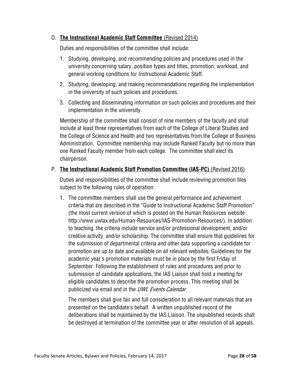#### O. **The Instructional Academic Staff Committee** (Revised 2014)

Duties and responsibilities of the committee shall include:

- 1. Studying, developing, and recommending policies and procedures used in the university concerning salary, position types and titles, promotion, workload, and general working conditions for Instructional Academic Staff.
- 2. Studying, developing, and making recommendations regarding the implementation in the university of such policies and procedures.
- 3. Collecting and disseminating information on such policies and procedures and their implementation in the university.

Membership of the committee shall consist of nine members of the faculty and shall include at least three representatives from each of the College of Liberal Studies and the College of Science and Health and two representatives from the College of Business Administration. Committee membership may include Ranked Faculty but no more than one Ranked Faculty member from each college. The committee shall elect its chairperson.

# P. **The Instructional Academic Staff Promotion Committee (IAS-PC)** (Revised 2016)

Duties and responsibilities of the committee shall include reviewing promotion files subject to the following rules of operation:

1. The committee members shall use the general performance and achievement criteria that are described in the "Guide to Instructional Academic Staff Promotion" (the most current version of which is posted on the Human Resources website http://www.uwlax.edu/Human-Resources/IAS-Promotion-Resources/). In addition to teaching, the criteria include service and/or professional development, and/or creative activity, and/or scholarship. The committee shall ensure that guidelines for the submission of departmental criteria and other data supporting a candidate for promotion are up to date and available on all relevant websites. Guidelines for the academic year's promotion materials must be in place by the first Friday of September. Following the establishment of rules and procedures and prior to submission of candidate applications, the IAS Liaison shall hold a meeting for eligible candidates to describe the promotion process. This meeting shall be publicized via email and in the *UWL Events Calendar*.

 The members shall give fair and full consideration to all relevant materials that are presented on the candidate's behalf. A written unpublished record of the deliberations shall be maintained by the IAS Liaison. The unpublished records shall be destroyed at termination of the committee year or after resolution of all appeals.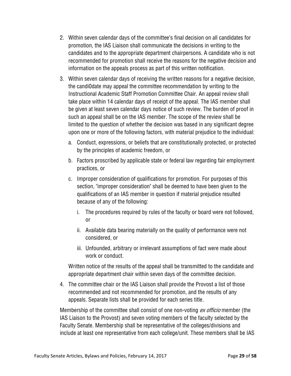- 2. Within seven calendar days of the committee's final decision on all candidates for promotion, the IAS Liaison shall communicate the decisions in writing to the candidates and to the appropriate department chairpersons. A candidate who is not recommended for promotion shall receive the reasons for the negative decision and information on the appeals process as part of this written notification.
- 3. Within seven calendar days of receiving the written reasons for a negative decision, the candi0date may appeal the committee recommendation by writing to the Instructional Academic Staff Promotion Committee Chair. An appeal review shall take place within 14 calendar days of receipt of the appeal. The IAS member shall be given at least seven calendar days notice of such review. The burden of proof in such an appeal shall be on the IAS member. The scope of the review shall be limited to the question of whether the decision was based in any significant degree upon one or more of the following factors, with material prejudice to the individual:
	- a. Conduct, expressions, or beliefs that are constitutionally protected, or protected by the principles of academic freedom, or
	- b. Factors proscribed by applicable state or federal law regarding fair employment practices, or
	- c. Improper consideration of qualifications for promotion. For purposes of this section, "improper consideration" shall be deemed to have been given to the qualifications of an IAS member in question if material prejudice resulted because of any of the following:
		- i. The procedures required by rules of the faculty or board were not followed, or
		- ii. Available data bearing materially on the quality of performance were not considered, or
		- iii. Unfounded, arbitrary or irrelevant assumptions of fact were made about work or conduct.

Written notice of the results of the appeal shall be transmitted to the candidate and appropriate department chair within seven days of the committee decision.

4. The committee chair or the IAS Liaison shall provide the Provost a list of those recommended and not recommended for promotion, and the results of any appeals. Separate lists shall be provided for each series title.

Membership of the committee shall consist of one non-voting *ex officio* member (the IAS Liaison to the Provost) and seven voting members of the faculty selected by the Faculty Senate. Membership shall be representative of the colleges/divisions and include at least one representative from each college/unit. These members shall be IAS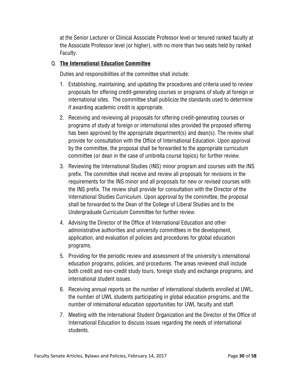at the Senior Lecturer or Clinical Associate Professor level or tenured ranked faculty at the Associate Professor level (or higher), with no more than two seats held by ranked Faculty.

#### Q. **The International Education Committee**

Duties and responsibilities of the committee shall include:

- 1. Establishing, maintaining, and updating the procedures and criteria used to review proposals for offering credit-generating courses or programs of study at foreign or international sites. The committee shall publicize the standards used to determine if awarding academic credit is appropriate.
- 2. Receiving and reviewing all proposals for offering credit-generating courses or programs of study at foreign or international sites provided the proposed offering has been approved by the appropriate department(s) and dean(s). The review shall provide for consultation with the Office of International Education. Upon approval by the committee, the proposal shall be forwarded to the appropriate curriculum committee (or dean in the case of umbrella course topics) for further review.
- 3. Reviewing the International Studies (INS) minor program and courses with the INS prefix. The committee shall receive and review all proposals for revisions in the requirements for the INS minor and all proposals for new or revised courses with the INS prefix. The review shall provide for consultation with the Director of the International Studies Curriculum. Upon approval by the committee, the proposal shall be forwarded to the Dean of the College of Liberal Studies and to the Undergraduate Curriculum Committee for further review.
- 4. Advising the Director of the Office of International Education and other administrative authorities and university committees in the development, application, and evaluation of policies and procedures for global education programs.
- 5. Providing for the periodic review and assessment of the university's international education programs, policies, and procedures. The areas reviewed shall include both credit and non-credit study tours, foreign study and exchange programs, and international student issues.
- 6. Receiving annual reports on the number of international students enrolled at UWL, the number of UWL students participating in global education programs, and the number of international education opportunities for UWL faculty and staff.
- 7. Meeting with the International Student Organization and the Director of the Office of International Education to discuss issues regarding the needs of international students.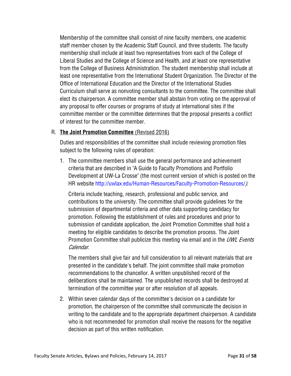Membership of the committee shall consist of nine faculty members, one academic staff member chosen by the Academic Staff Council, and three students. The faculty membership shall include at least two representatives from each of the College of Liberal Studies and the College of Science and Health, and at least one representative from the College of Business Administration. The student membership shall include at least one representative from the International Student Organization. The Director of the Office of International Education and the Director of the International Studies Curriculum shall serve as nonvoting consultants to the committee. The committee shall elect its chairperson. A committee member shall abstain from voting on the approval of any proposal to offer courses or programs of study at international sites if the committee member or the committee determines that the proposal presents a conflict of interest for the committee member.

#### R. **The Joint Promotion Committee** (Revised 2016)

Duties and responsibilities of the committee shall include reviewing promotion files subject to the following rules of operation:

1. The committee members shall use the general performance and achievement criteria that are described in "A Guide to Faculty Promotions and Portfolio Development at UW-La Crosse" (the most current version of which is posted on the HR website http://uwlax.edu/Human-Resources/Faculty-Promotion-Resources/).

 Criteria include teaching, research, professional and public service, and contributions to the university. The committee shall provide guidelines for the submission of departmental criteria and other data supporting candidacy for promotion. Following the establishment of rules and procedures and prior to submission of candidate application, the Joint Promotion Committee shall hold a meeting for eligible candidates to describe the promotion process. The Joint Promotion Committee shall publicize this meeting via email and in the UWL Events Calendar.

 The members shall give fair and full consideration to all relevant materials that are presented in the candidate's behalf. The joint committee shall make promotion recommendations to the chancellor. A written unpublished record of the deliberations shall be maintained. The unpublished records shall be destroyed at termination of the committee year or after resolution of all appeals.

2. Within seven calendar days of the committee's decision on a candidate for promotion, the chairperson of the committee shall communicate the decision in writing to the candidate and to the appropriate department chairperson. A candidate who is not recommended for promotion shall receive the reasons for the negative decision as part of this written notification.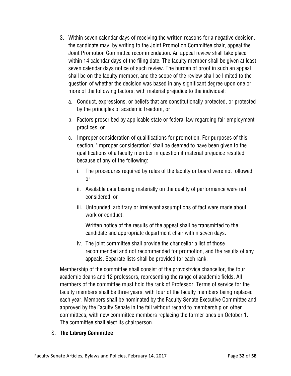- 3. Within seven calendar days of receiving the written reasons for a negative decision, the candidate may, by writing to the Joint Promotion Committee chair, appeal the Joint Promotion Committee recommendation. An appeal review shall take place within 14 calendar days of the filing date. The faculty member shall be given at least seven calendar days notice of such review. The burden of proof in such an appeal shall be on the faculty member, and the scope of the review shall be limited to the question of whether the decision was based in any significant degree upon one or more of the following factors, with material prejudice to the individual:
	- a. Conduct, expressions, or beliefs that are constitutionally protected, or protected by the principles of academic freedom, or
	- b. Factors proscribed by applicable state or federal law regarding fair employment practices, or
	- c. Improper consideration of qualifications for promotion. For purposes of this section, "improper consideration" shall be deemed to have been given to the qualifications of a faculty member in question if material prejudice resulted because of any of the following:
		- i. The procedures required by rules of the faculty or board were not followed, or
		- ii. Available data bearing materially on the quality of performance were not considered, or
		- iii. Unfounded, arbitrary or irrelevant assumptions of fact were made about work or conduct.

 Written notice of the results of the appeal shall be transmitted to the candidate and appropriate department chair within seven days.

iv. The joint committee shall provide the chancellor a list of those recommended and not recommended for promotion, and the results of any appeals. Separate lists shall be provided for each rank.

Membership of the committee shall consist of the provost/vice chancellor, the four academic deans and 12 professors, representing the range of academic fields. All members of the committee must hold the rank of Professor. Terms of service for the faculty members shall be three years, with four of the faculty members being replaced each year. Members shall be nominated by the Faculty Senate Executive Committee and approved by the Faculty Senate in the fall without regard to membership on other committees, with new committee members replacing the former ones on October 1. The committee shall elect its chairperson.

# S. **The Library Committee**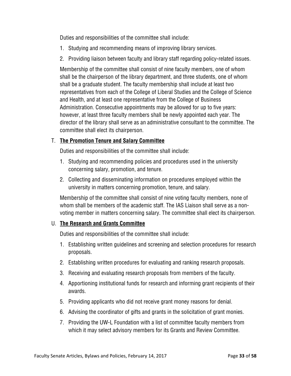Duties and responsibilities of the committee shall include:

- 1. Studying and recommending means of improving library services.
- 2. Providing liaison between faculty and library staff regarding policy-related issues.

Membership of the committee shall consist of nine faculty members, one of whom shall be the chairperson of the library department, and three students, one of whom shall be a graduate student. The faculty membership shall include at least two representatives from each of the College of Liberal Studies and the College of Science and Health, and at least one representative from the College of Business Administration. Consecutive appointments may be allowed for up to five years: however, at least three faculty members shall be newly appointed each year. The director of the library shall serve as an administrative consultant to the committee. The committee shall elect its chairperson.

# T. **The Promotion Tenure and Salary Committee**

Duties and responsibilities of the committee shall include:

- 1. Studying and recommending policies and procedures used in the university concerning salary, promotion, and tenure.
- 2. Collecting and disseminating information on procedures employed within the university in matters concerning promotion, tenure, and salary.

Membership of the committee shall consist of nine voting faculty members, none of whom shall be members of the academic staff. The IAS Liaison shall serve as a nonvoting member in matters concerning salary. The committee shall elect its chairperson.

# U. **The Research and Grants Committee**

Duties and responsibilities of the committee shall include:

- 1. Establishing written guidelines and screening and selection procedures for research proposals.
- 2. Establishing written procedures for evaluating and ranking research proposals.
- 3. Receiving and evaluating research proposals from members of the faculty.
- 4. Apportioning institutional funds for research and informing grant recipients of their awards.
- 5. Providing applicants who did not receive grant money reasons for denial.
- 6. Advising the coordinator of gifts and grants in the solicitation of grant monies.
- 7. Providing the UW-L Foundation with a list of committee faculty members from which it may select advisory members for its Grants and Review Committee.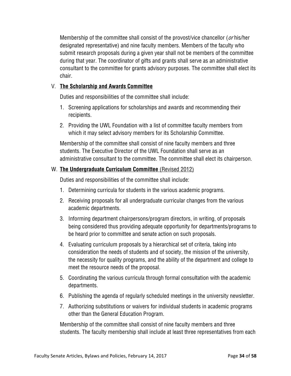Membership of the committee shall consist of the provost/vice chancellor (*or* his/her designated representative) and nine faculty members. Members of the faculty who submit research proposals during a given year shall not be members of the committee during that year. The coordinator of gifts and grants shall serve as an administrative consultant to the committee for grants advisory purposes. The committee shall elect its chair.

#### V. **The Scholarship and Awards Committee**

Duties and responsibilities of the committee shall include:

- 1. Screening applications for scholarships and awards and recommending their recipients.
- 2. Providing the UWL Foundation with a list of committee faculty members from which it may select advisory members for its Scholarship Committee.

Membership of the committee shall consist of nine faculty members and three students. The Executive Director of the UWL Foundation shall serve as an administrative consultant to the committee. The committee shall elect its chairperson.

# W. **The Undergraduate Curriculum Committee** (Revised 2012)

Duties and responsibilities of the committee shall include:

- 1. Determining curricula for students in the various academic programs.
- 2. Receiving proposals for all undergraduate curricular changes from the various academic departments.
- 3. Informing department chairpersons/program directors, in writing, of proposals being considered thus providing adequate opportunity for departments/programs to be heard prior to committee and senate action on such proposals.
- 4. Evaluating curriculum proposals by a hierarchical set of criteria, taking into consideration the needs of students and of society, the mission of the university, the necessity for quality programs, and the ability of the department and college to meet the resource needs of the proposal.
- 5. Coordinating the various curricula through formal consultation with the academic departments.
- 6. Publishing the agenda of regularly scheduled meetings in the university newsletter.
- 7. Authorizing substitutions or waivers for individual students in academic programs other than the General Education Program.

Membership of the committee shall consist of nine faculty members and three students. The faculty membership shall include at least three representatives from each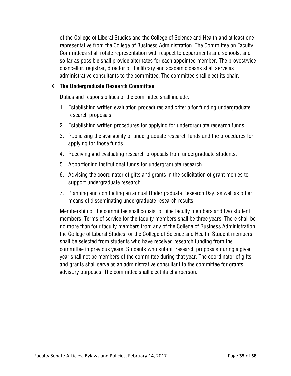of the College of Liberal Studies and the College of Science and Health and at least one representative from the College of Business Administration. The Committee on Faculty Committees shall rotate representation with respect to departments and schools, and so far as possible shall provide alternates for each appointed member. The provost/vice chancellor, registrar, director of the library and academic deans shall serve as administrative consultants to the committee. The committee shall elect its chair.

#### X. **The Undergraduate Research Committee**

Duties and responsibilities of the committee shall include:

- 1. Establishing written evaluation procedures and criteria for funding undergraduate research proposals.
- 2. Establishing written procedures for applying for undergraduate research funds.
- 3. Publicizing the availability of undergraduate research funds and the procedures for applying for those funds.
- 4. Receiving and evaluating research proposals from undergraduate students.
- 5. Apportioning institutional funds for undergraduate research.
- 6. Advising the coordinator of gifts and grants in the solicitation of grant monies to support undergraduate research.
- 7. Planning and conducting an annual Undergraduate Research Day, as well as other means of disseminating undergraduate research results.

Membership of the committee shall consist of nine faculty members and two student members. Terms of service for the faculty members shall be three years. There shall be no more than four faculty members from any of the College of Business Administration, the College of Liberal Studies, or the College of Science and Health. Student members shall be selected from students who have received research funding from the committee in previous years. Students who submit research proposals during a given year shall not be members of the committee during that year. The coordinator of gifts and grants shall serve as an administrative consultant to the committee for grants advisory purposes. The committee shall elect its chairperson.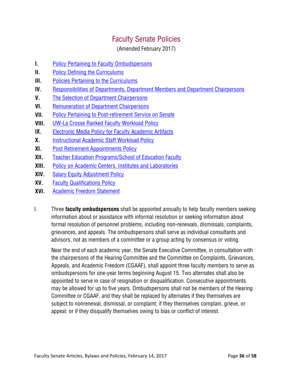# Faculty Senate Policies

(Amended February 2017)

- **I.** Policy Pertaining to Faculty Ombudspersons
- **II.** Policy Defining the Curriculums
- **III.** Policies Pertaining to the Curriculums
- **IV.** Responsibilities of Departments, Department Members and Department Chairpersons
- **V.** The Selection of Department Chairpersons
- **VI.** Remuneration of Department Chairpersons
- **VII.** Policy Pertaining to Post-retirement Service on Senate
- **VIII.** UW-La Crosse Ranked Faculty Workload Policy
- **IX.** Electronic Media Policy for Faculty Academic Artifacts
- **X.** Instructional Academic Staff Workload Policy
- **XI.** Post Retirement Appointments Policy
- **XII.** Teacher Education Programs/School of Education Faculty
- **XIII.** Policy on Academic Centers, Institutes and Laboratories
- **XIV.** Salary Equity Adjustment Policy
- **XV.** Faculty Qualifications Policy
- **XVI.** Academic Freedom Statement
- I. Three **faculty ombudspersons** shall be appointed annually to help faculty members seeking information about or assistance with informal resolution or seeking information about formal resolution of personnel problems, including non-renewals, dismissals, complaints, grievances, and appeals. The ombudspersons shall serve as individual consultants and advisors, not as members of a committee or a group acting by consensus or voting.

Near the end of each academic year, the Senate Executive Committee, in consultation with the chairpersons of the Hearing Committee and the Committee on Complaints, Grievances, Appeals, and Academic Freedom (CGAAF), shall appoint three faculty members to serve as ombudspersons for one-year terms beginning August 15. Two alternates shall also be appointed to serve in case of resignation or disqualification. Consecutive appointments may be allowed for up to five years. Ombudspersons shall not be members of the Hearing Committee or CGAAF, and they shall be replaced by alternates if they themselves are subject to nonrenewal, dismissal, or complaint; if they themselves complain, grieve, or appeal; or if they disqualify themselves owing to bias or conflict of interest.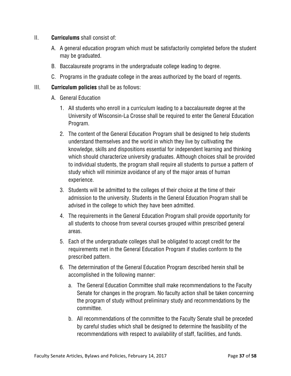- II. **Curriculums** shall consist of:
	- A. A general education program which must be satisfactorily completed before the student may be graduated.
	- B. Baccalaureate programs in the undergraduate college leading to degree.
	- C. Programs in the graduate college in the areas authorized by the board of regents.

#### III. **Curriculum policies** shall be as follows:

- A. General Education
	- 1. All students who enroll in a curriculum leading to a baccalaureate degree at the University of Wisconsin-La Crosse shall be required to enter the General Education Program.
	- 2. The content of the General Education Program shall be designed to help students understand themselves and the world in which they live by cultivating the knowledge, skills and dispositions essential for independent learning and thinking which should characterize university graduates. Although choices shall be provided to individual students, the program shall require all students to pursue a pattern of study which will minimize avoidance of any of the major areas of human experience.
	- 3. Students will be admitted to the colleges of their choice at the time of their admission to the university. Students in the General Education Program shall be advised in the college to which they have been admitted.
	- 4. The requirements in the General Education Program shall provide opportunity for all students to choose from several courses grouped within prescribed general areas.
	- 5. Each of the undergraduate colleges shall be obligated to accept credit for the requirements met in the General Education Program if studies conform to the prescribed pattern.
	- 6. The determination of the General Education Program described herein shall be accomplished in the following manner:
		- a. The General Education Committee shall make recommendations to the Faculty Senate for changes in the program. No faculty action shall be taken concerning the program of study without preliminary study and recommendations by the committee.
		- b. All recommendations of the committee to the Faculty Senate shall be preceded by careful studies which shall be designed to determine the feasibility of the recommendations with respect to availability of staff, facilities, and funds.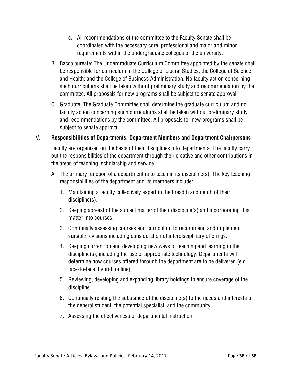- c. All recommendations of the committee to the Faculty Senate shall be coordinated with the necessary core, professional and major and minor requirements within the undergraduate colleges of the university.
- B. Baccalaureate: The Undergraduate Curriculum Committee appointed by the senate shall be responsible for curriculum in the College of Liberal Studies; the College of Science and Health; and the College of Business Administration. No faculty action concerning such curriculums shall be taken without preliminary study and recommendation by the committee. All proposals for new programs shall be subject to senate approval.
- C. Graduate: The Graduate Committee shall determine the graduate curriculum and no faculty action concerning such curriculums shall be taken without preliminary study and recommendations by the committee. All proposals for new programs shall be subject to senate approval.

# IV. **Responsibilities of Departments, Department Members and Department Chairpersons**

Faculty are organized on the basis of their disciplines into departments. The faculty carry out the responsibilities of the department through their creative and other contributions in the areas of teaching, scholarship and service.

- A. The primary function of a department is to teach in its discipline(s). The key teaching responsibilities of the department and its members include:
	- 1. Maintaining a faculty collectively expert in the breadth and depth of their discipline(s).
	- 2. Keeping abreast of the subject matter of their discipline(s) and incorporating this matter into courses.
	- 3. Continually assessing courses and curriculum to recommend and implement suitable revisions including consideration of interdisciplinary offerings.
	- 4. Keeping current on and developing new ways of teaching and learning in the discipline(s), including the use of appropriate technology. Departments will determine how courses offered through the department are to be delivered (e.g. face-to-face, hybrid, online).
	- 5. Reviewing, developing and expanding library holdings to ensure coverage of the discipline.
	- 6. Continually relating the substance of the discipline(s) to the needs and interests of the general student, the potential specialist, and the community.
	- 7. Assessing the effectiveness of departmental instruction.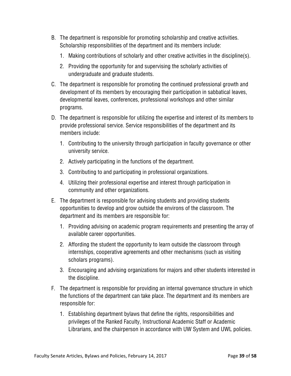- B. The department is responsible for promoting scholarship and creative activities. Scholarship responsibilities of the department and its members include:
	- 1. Making contributions of scholarly and other creative activities in the discipline(s).
	- 2. Providing the opportunity for and supervising the scholarly activities of undergraduate and graduate students.
- C. The department is responsible for promoting the continued professional growth and development of its members by encouraging their participation in sabbatical leaves, developmental leaves, conferences, professional workshops and other similar programs.
- D. The department is responsible for utilizing the expertise and interest of its members to provide professional service. Service responsibilities of the department and its members include:
	- 1. Contributing to the university through participation in faculty governance or other university service.
	- 2. Actively participating in the functions of the department.
	- 3. Contributing to and participating in professional organizations.
	- 4. Utilizing their professional expertise and interest through participation in community and other organizations.
- E. The department is responsible for advising students and providing students opportunities to develop and grow outside the environs of the classroom. The department and its members are responsible for:
	- 1. Providing advising on academic program requirements and presenting the array of available career opportunities.
	- 2. Affording the student the opportunity to learn outside the classroom through internships, cooperative agreements and other mechanisms (such as visiting scholars programs).
	- 3. Encouraging and advising organizations for majors and other students interested in the discipline.
- F. The department is responsible for providing an internal governance structure in which the functions of the department can take place. The department and its members are responsible for:
	- 1. Establishing department bylaws that define the rights, responsibilities and privileges of the Ranked Faculty, Instructional Academic Staff or Academic Librarians, and the chairperson in accordance with UW System and UWL policies.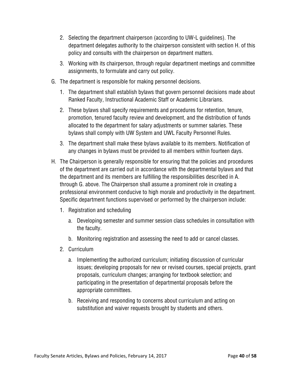- 2. Selecting the department chairperson (according to UW-L guidelines). The department delegates authority to the chairperson consistent with section H. of this policy and consults with the chairperson on department matters.
- 3. Working with its chairperson, through regular department meetings and committee assignments, to formulate and carry out policy.
- G. The department is responsible for making personnel decisions.
	- 1. The department shall establish bylaws that govern personnel decisions made about Ranked Faculty, Instructional Academic Staff or Academic Librarians.
	- 2. These bylaws shall specify requirements and procedures for retention, tenure, promotion, tenured faculty review and development, and the distribution of funds allocated to the department for salary adjustments or summer salaries. These bylaws shall comply with UW System and UWL Faculty Personnel Rules.
	- 3. The department shall make these bylaws available to its members. Notification of any changes in bylaws must be provided to all members within fourteen days.
- H. The Chairperson is generally responsible for ensuring that the policies and procedures of the department are carried out in accordance with the departmental bylaws and that the department and its members are fulfilling the responsibilities described in A. through G. above. The Chairperson shall assume a prominent role in creating a professional environment conducive to high morale and productivity in the department. Specific department functions supervised or performed by the chairperson include:
	- 1. Registration and scheduling
		- a. Developing semester and summer session class schedules in consultation with the faculty.
		- b. Monitoring registration and assessing the need to add or cancel classes.
	- 2. Curriculum
		- a. Implementing the authorized curriculum; initiating discussion of curricular issues; developing proposals for new or revised courses, special projects, grant proposals, curriculum changes; arranging for textbook selection; and participating in the presentation of departmental proposals before the appropriate committees.
		- b. Receiving and responding to concerns about curriculum and acting on substitution and waiver requests brought by students and others.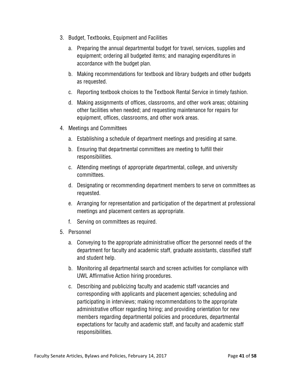- 3. Budget, Textbooks, Equipment and Facilities
	- a. Preparing the annual departmental budget for travel, services, supplies and equipment; ordering all budgeted items; and managing expenditures in accordance with the budget plan.
	- b. Making recommendations for textbook and library budgets and other budgets as requested.
	- c. Reporting textbook choices to the Textbook Rental Service in timely fashion.
	- d. Making assignments of offices, classrooms, and other work areas; obtaining other facilities when needed; and requesting maintenance for repairs for equipment, offices, classrooms, and other work areas.
- 4. Meetings and Committees
	- a. Establishing a schedule of department meetings and presiding at same.
	- b. Ensuring that departmental committees are meeting to fulfill their responsibilities.
	- c. Attending meetings of appropriate departmental, college, and university committees.
	- d. Designating or recommending department members to serve on committees as requested.
	- e. Arranging for representation and participation of the department at professional meetings and placement centers as appropriate.
	- f. Serving on committees as required.
- 5. Personnel
	- a. Conveying to the appropriate administrative officer the personnel needs of the department for faculty and academic staff, graduate assistants, classified staff and student help.
	- b. Monitoring all departmental search and screen activities for compliance with UWL Affirmative Action hiring procedures.
	- c. Describing and publicizing faculty and academic staff vacancies and corresponding with applicants and placement agencies; scheduling and participating in interviews; making recommendations to the appropriate administrative officer regarding hiring; and providing orientation for new members regarding departmental policies and procedures, departmental expectations for faculty and academic staff, and faculty and academic staff responsibilities.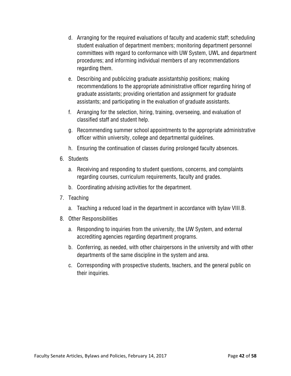- d. Arranging for the required evaluations of faculty and academic staff; scheduling student evaluation of department members; monitoring department personnel committees with regard to conformance with UW System, UWL and department procedures; and informing individual members of any recommendations regarding them.
- e. Describing and publicizing graduate assistantship positions; making recommendations to the appropriate administrative officer regarding hiring of graduate assistants; providing orientation and assignment for graduate assistants; and participating in the evaluation of graduate assistants.
- f. Arranging for the selection, hiring, training, overseeing, and evaluation of classified staff and student help.
- g. Recommending summer school appointments to the appropriate administrative officer within university, college and departmental guidelines.
- h. Ensuring the continuation of classes during prolonged faculty absences.
- 6. Students
	- a. Receiving and responding to student questions, concerns, and complaints regarding courses, curriculum requirements, faculty and grades.
	- b. Coordinating advising activities for the department.
- 7. Teaching
	- a. Teaching a reduced load in the department in accordance with bylaw VIII.B.
- 8. Other Responsibilities
	- a. Responding to inquiries from the university, the UW System, and external accrediting agencies regarding department programs.
	- b. Conferring, as needed, with other chairpersons in the university and with other departments of the same discipline in the system and area.
	- c. Corresponding with prospective students, teachers, and the general public on their inquiries.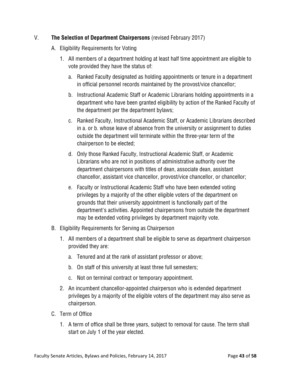# V. **The Selection of Department Chairpersons** (revised February 2017)

- A. Eligibility Requirements for Voting
	- 1. All members of a department holding at least half time appointment are eligible to vote provided they have the status of:
		- a. Ranked Faculty designated as holding appointments or tenure in a department in official personnel records maintained by the provost/vice chancellor;
		- b. Instructional Academic Staff or Academic Librarians holding appointments in a department who have been granted eligibility by action of the Ranked Faculty of the department per the department bylaws;
		- c. Ranked Faculty, Instructional Academic Staff, or Academic Librarians described in a. or b. whose leave of absence from the university or assignment to duties outside the department will terminate within the three-year term of the chairperson to be elected;
		- d. Only those Ranked Faculty, Instructional Academic Staff, or Academic Librarians who are not in positions of administrative authority over the department chairpersons with titles of dean, associate dean, assistant chancellor, assistant vice chancellor, provost/vice chancellor, or chancellor;
		- e. Faculty or Instructional Academic Staff who have been extended voting privileges by a majority of the other eligible voters of the department on grounds that their university appointment is functionally part of the department's activities. Appointed chairpersons from outside the department may be extended voting privileges by department majority vote.
- B. Eligibility Requirements for Serving as Chairperson
	- 1. All members of a department shall be eligible to serve as department chairperson provided they are:
		- a. Tenured and at the rank of assistant professor or above;
		- b. On staff of this university at least three full semesters;
		- c. Not on terminal contract or temporary appointment.
	- 2. An incumbent chancellor-appointed chairperson who is extended department privileges by a majority of the eligible voters of the department may also serve as chairperson.
- C. Term of Office
	- 1. A term of office shall be three years, subject to removal for cause. The term shall start on July 1 of the year elected.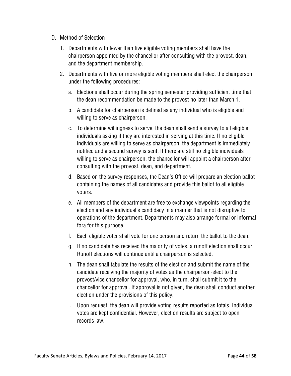- D. Method of Selection
	- 1. Departments with fewer than five eligible voting members shall have the chairperson appointed by the chancellor after consulting with the provost, dean, and the department membership.
	- 2. Departments with five or more eligible voting members shall elect the chairperson under the following procedures:
		- a. Elections shall occur during the spring semester providing sufficient time that the dean recommendation be made to the provost no later than March 1.
		- b. A candidate for chairperson is defined as any individual who is eligible and willing to serve as chairperson.
		- c. To determine willingness to serve, the dean shall send a survey to all eligible individuals asking if they are interested in serving at this time. If no eligible individuals are willing to serve as chairperson, the department is immediately notified and a second survey is sent. If there are still no eligible individuals willing to serve as chairperson, the chancellor will appoint a chairperson after consulting with the provost, dean, and department.
		- d. Based on the survey responses, the Dean's Office will prepare an election ballot containing the names of all candidates and provide this ballot to all eligible voters.
		- e. All members of the department are free to exchange viewpoints regarding the election and any individual's candidacy in a manner that is not disruptive to operations of the department. Departments may also arrange formal or informal fora for this purpose.
		- f. Each eligible voter shall vote for one person and return the ballot to the dean.
		- g. If no candidate has received the majority of votes, a runoff election shall occur. Runoff elections will continue until a chairperson is selected.
		- h. The dean shall tabulate the results of the election and submit the name of the candidate receiving the majority of votes as the chairperson-elect to the provost/vice chancellor for approval, who, in turn, shall submit it to the chancellor for approval. If approval is not given, the dean shall conduct another election under the provisions of this policy.
		- i. Upon request, the dean will provide voting results reported as totals. Individual votes are kept confidential. However, election results are subject to open records law.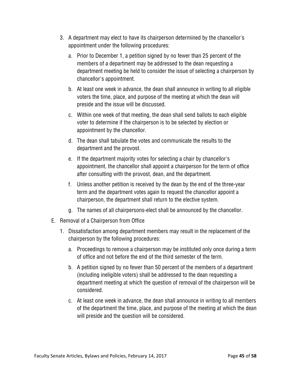- 3. A department may elect to have its chairperson determined by the chancellor's appointment under the following procedures:
	- a. Prior to December 1, a petition signed by no fewer than 25 percent of the members of a department may be addressed to the dean requesting a department meeting be held to consider the issue of selecting a chairperson by chancellor's appointment.
	- b. At least one week in advance, the dean shall announce in writing to all eligible voters the time, place, and purpose of the meeting at which the dean will preside and the issue will be discussed.
	- c. Within one week of that meeting, the dean shall send ballots to each eligible voter to determine if the chairperson is to be selected by election or appointment by the chancellor.
	- d. The dean shall tabulate the votes and communicate the results to the department and the provost.
	- e. If the department majority votes for selecting a chair by chancellor's appointment, the chancellor shall appoint a chairperson for the term of office after consulting with the provost, dean, and the department.
	- f. Unless another petition is received by the dean by the end of the three-year term and the department votes again to request the chancellor appoint a chairperson, the department shall return to the elective system.
	- g. The names of all chairpersons-elect shall be announced by the chancellor.
- E. Removal of a Chairperson from Office
	- 1. Dissatisfaction among department members may result in the replacement of the chairperson by the following procedures:
		- a. Proceedings to remove a chairperson may be instituted only once during a term of office and not before the end of the third semester of the term.
		- b. A petition signed by no fewer than 50 percent of the members of a department (including ineligible voters) shall be addressed to the dean requesting a department meeting at which the question of removal of the chairperson will be considered.
		- c. At least one week in advance, the dean shall announce in writing to all members of the department the time, place, and purpose of the meeting at which the dean will preside and the question will be considered.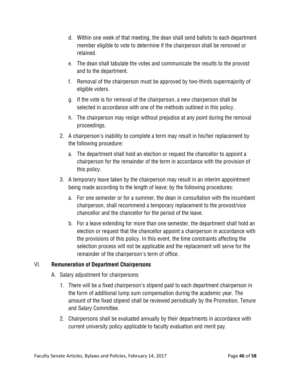- d. Within one week of that meeting, the dean shall send ballots to each department member eligible to vote to determine if the chairperson shall be removed or retained.
- e. The dean shall tabulate the votes and communicate the results to the provost and to the department.
- f. Removal of the chairperson must be approved by two-thirds supermajority of eligible voters.
- g. If the vote is for removal of the chairperson, a new chairperson shall be selected in accordance with one of the methods outlined in this policy.
- h. The chairperson may resign without prejudice at any point during the removal proceedings.
- 2. A chairperson's inability to complete a term may result in his/her replacement by the following procedure:
	- a. The department shall hold an election or request the chancellor to appoint a chairperson for the remainder of the term in accordance with the provision of this policy.
- 3. A temporary leave taken by the chairperson may result in an interim appointment being made according to the length of leave; by the following procedures:
	- a. For one semester or for a summer, the dean in consultation with the incumbent chairperson, shall recommend a temporary replacement to the provost/vice chancellor and the chancellor for the period of the leave.
	- b. For a leave extending for more than one semester, the department shall hold an election or request that the chancellor appoint a chairperson in accordance with the provisions of this policy. In this event, the time constraints affecting the selection process will not be applicable and the replacement will serve for the remainder of the chairperson's term of office.

# VI. **Remuneration of Department Chairpersons**

- A. Salary adjustment for chairpersons
	- 1. There will be a fixed chairperson's stipend paid to each department chairperson in the form of additional lump sum compensation during the academic year. The amount of the fixed stipend shall be reviewed periodically by the Promotion, Tenure and Salary Committee.
	- 2. Chairpersons shall be evaluated annually by their departments in accordance with current university policy applicable to faculty evaluation and merit pay.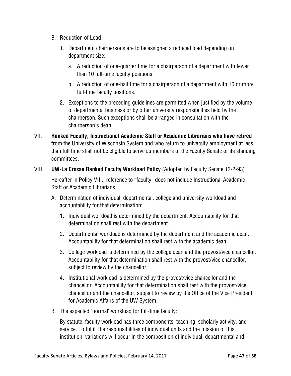- B. Reduction of Load
	- 1. Department chairpersons are to be assigned a reduced load depending on department size:
		- a. A reduction of one-quarter time for a chairperson of a department with fewer than 10 full-time faculty positions.
		- b. A reduction of one-half time for a chairperson of a department with 10 or more full-time faculty positions.
	- 2. Exceptions to the preceding guidelines are permitted when justified by the volume of departmental business or by other university responsibilities held by the chairperson. Such exceptions shall be arranged in consultation with the chairperson's dean.
- VII. **Ranked Faculty, Instructional Academic Staff or Academic Librarians who have retired**  from the University of Wisconsin System and who return to university employment at less than full time shall not be eligible to serve as members of the Faculty Senate or its standing committees.
- VIII. **UW-La Crosse Ranked Faculty Workload Policy** (Adopted by Faculty Senate 12-2-93) Hereafter in Policy VIII., reference to "faculty" does not include Instructional Academic Staff or Academic Librarians.
	- A. Determination of individual, departmental, college and university workload and accountability for that determination:
		- 1. Individual workload is determined by the department. Accountability for that determination shall rest with the department.
		- 2. Departmental workload is determined by the department and the academic dean. Accountability for that determination shall rest with the academic dean.
		- 3. College workload is determined by the college dean and the provost/vice chancellor. Accountability for that determination shall rest with the provost/vice chancellor, subject to review by the chancellor.
		- 4. Institutional workload is determined by the provost/vice chancellor and the chancellor. Accountability for that determination shall rest with the provost/vice chancellor and the chancellor, subject to review by the Office of the Vice President for Academic Affairs of the UW System.
	- B. The expected "normal" workload for full-time faculty:

By statute, faculty workload has three components: teaching, scholarly activity, and service. To fulfill the responsibilities of individual units and the mission of this institution, variations will occur in the composition of individual, departmental and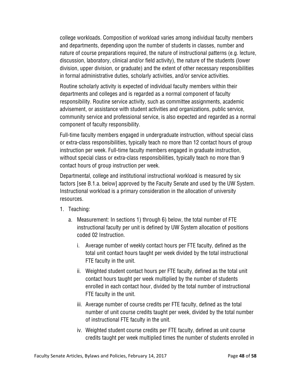college workloads. Composition of workload varies among individual faculty members and departments, depending upon the number of students in classes, number and nature of course preparations required, the nature of instructional patterns (e.g. lecture, discussion, laboratory, clinical and/or field activity), the nature of the students (lower division, upper division, or graduate) and the extent of other necessary responsibilities in formal administrative duties, scholarly activities, and/or service activities.

Routine scholarly activity is expected of individual faculty members within their departments and colleges and is regarded as a normal component of faculty responsibility. Routine service activity, such as committee assignments, academic advisement, or assistance with student activities and organizations, public service, community service and professional service, is also expected and regarded as a normal component of faculty responsibility.

Full-time faculty members engaged in undergraduate instruction, without special class or extra-class responsibilities, typically teach no more than 12 contact hours of group instruction per week. Full-time faculty members engaged in graduate instruction, without special class or extra-class responsibilities, typically teach no more than 9 contact hours of group instruction per week.

Departmental, college and institutional instructional workload is measured by six factors [see B.1.a. below] approved by the Faculty Senate and used by the UW System. Instructional workload is a primary consideration in the allocation of university resources.

- 1. Teaching:
	- a. Measurement: In sections 1) through 6) below, the total number of FTE instructional faculty per unit is defined by UW System allocation of positions coded 02 Instruction.
		- i. Average number of weekly contact hours per FTE faculty, defined as the total unit contact hours taught per week divided by the total instructional FTE faculty in the unit.
		- ii. Weighted student contact hours per FTE faculty, defined as the total unit contact hours taught per week multiplied by the number of students enrolled in each contact hour, divided by the total number of instructional FTE faculty in the unit.
		- iii. Average number of course credits per FTE faculty, defined as the total number of unit course credits taught per week, divided by the total number of instructional FTE faculty in the unit.
		- iv. Weighted student course credits per FTE faculty, defined as unit course credits taught per week multiplied times the number of students enrolled in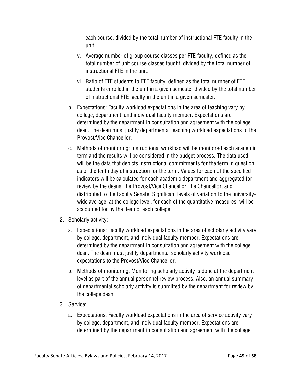each course, divided by the total number of instructional FTE faculty in the unit.

- v. Average number of group course classes per FTE faculty, defined as the total number of unit course classes taught, divided by the total number of instructional FTE in the unit.
- vi. Ratio of FTE students to FTE faculty, defined as the total number of FTE students enrolled in the unit in a given semester divided by the total number of instructional FTE faculty in the unit in a given semester.
- b. Expectations: Faculty workload expectations in the area of teaching vary by college, department, and individual faculty member. Expectations are determined by the department in consultation and agreement with the college dean. The dean must justify departmental teaching workload expectations to the Provost/Vice Chancellor.
- c. Methods of monitoring: Instructional workload will be monitored each academic term and the results will be considered in the budget process. The data used will be the data that depicts instructional commitments for the term in question as of the tenth day of instruction for the term. Values for each of the specified indicators will be calculated for each academic department and aggregated for review by the deans, the Provost/Vice Chancellor, the Chancellor, and distributed to the Faculty Senate. Significant levels of variation to the universitywide average, at the college level, for each of the quantitative measures, will be accounted for by the dean of each college.
- 2. Scholarly activity:
	- a. Expectations: Faculty workload expectations in the area of scholarly activity vary by college, department, and individual faculty member. Expectations are determined by the department in consultation and agreement with the college dean. The dean must justify departmental scholarly activity workload expectations to the Provost/Vice Chancellor.
	- b. Methods of monitoring: Monitoring scholarly activity is done at the department level as part of the annual personnel review process. Also, an annual summary of departmental scholarly activity is submitted by the department for review by the college dean.
- 3. Service:
	- a. Expectations: Faculty workload expectations in the area of service activity vary by college, department, and individual faculty member. Expectations are determined by the department in consultation and agreement with the college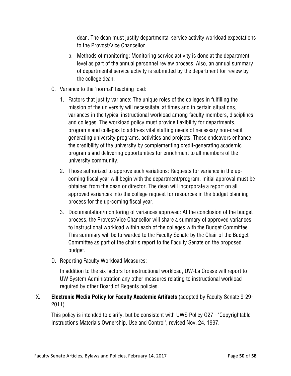dean. The dean must justify departmental service activity workload expectations to the Provost/Vice Chancellor.

- b. Methods of monitoring: Monitoring service activity is done at the department level as part of the annual personnel review process. Also, an annual summary of departmental service activity is submitted by the department for review by the college dean.
- C. Variance to the "normal" teaching load:
	- 1. Factors that justify variance: The unique roles of the colleges in fulfilling the mission of the university will necessitate, at times and in certain situations, variances in the typical instructional workload among faculty members, disciplines and colleges. The workload policy must provide flexibility for departments, programs and colleges to address vital staffing needs of necessary non-credit generating university programs, activities and projects. These endeavors enhance the credibility of the university by complementing credit-generating academic programs and delivering opportunities for enrichment to all members of the university community.
	- 2. Those authorized to approve such variations: Requests for variance in the upcoming fiscal year will begin with the department/program. Initial approval must be obtained from the dean or director. The dean will incorporate a report on all approved variances into the college request for resources in the budget planning process for the up-coming fiscal year.
	- 3. Documentation/monitoring of variances approved: At the conclusion of the budget process, the Provost/Vice Chancellor will share a summary of approved variances to instructional workload within each of the colleges with the Budget Committee. This summary will be forwarded to the Faculty Senate by the Chair of the Budget Committee as part of the chair's report to the Faculty Senate on the proposed budget.
- D. Reporting Faculty Workload Measures:

In addition to the six factors for instructional workload, UW-La Crosse will report to UW System Administration any other measures relating to instructional workload required by other Board of Regents policies.

# IX. **Electronic Media Policy for Faculty Academic Artifacts** (adopted by Faculty Senate 9-29- 2011)

This policy is intended to clarify, but be consistent with UWS Policy G27 - "Copyrightable Instructions Materials Ownership, Use and Control", revised Nov. 24, 1997.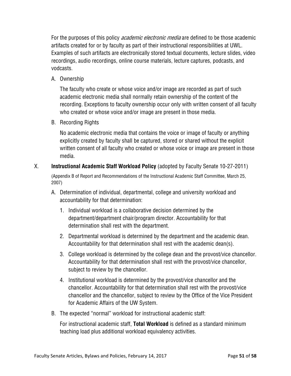For the purposes of this policy *academic electronic media* are defined to be those academic artifacts created for or by faculty as part of their instructional responsibilities at UWL. Examples of such artifacts are electronically stored textual documents, lecture slides, video recordings, audio recordings, online course materials, lecture captures, podcasts, and vodcasts.

A. Ownership

The faculty who create or whose voice and/or image are recorded as part of such academic electronic media shall normally retain ownership of the content of the recording. Exceptions to faculty ownership occur only with written consent of all faculty who created or whose voice and/or image are present in those media.

B. Recording Rights

No academic electronic media that contains the voice or image of faculty or anything explicitly created by faculty shall be captured, stored or shared without the explicit written consent of all faculty who created or whose voice or image are present in those media.

X. **Instructional Academic Staff Workload Policy** (adopted by Faculty Senate 10-27-2011)

(Appendix B of Report and Recommendations of the Instructional Academic Staff Committee, March 25, 2007)

- A. Determination of individual, departmental, college and university workload and accountability for that determination:
	- 1. Individual workload is a collaborative decision determined by the department/department chair/program director. Accountability for that determination shall rest with the department.
	- 2. Departmental workload is determined by the department and the academic dean. Accountability for that determination shall rest with the academic dean(s).
	- 3. College workload is determined by the college dean and the provost/vice chancellor. Accountability for that determination shall rest with the provost/vice chancellor, subject to review by the chancellor.
	- 4. Institutional workload is determined by the provost/vice chancellor and the chancellor. Accountability for that determination shall rest with the provost/vice chancellor and the chancellor, subject to review by the Office of the Vice President for Academic Affairs of the UW System.
- B. The expected "normal" workload for instructional academic staff:

For instructional academic staff, **Total Workload** is defined as a standard minimum teaching load plus additional workload equivalency activities.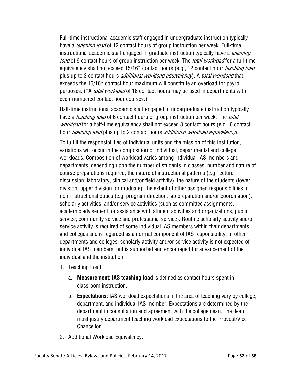Full-time instructional academic staff engaged in undergraduate instruction typically have a *teaching load* of 12 contact hours of group instruction per week. Full-time instructional academic staff engaged in graduate instruction typically have a *teaching* load of 9 contact hours of group instruction per week. The *total workload* for a full-time equivalency shall not exceed 15/16<sup>\*</sup> contact hours (e.g., 12 contact hour *teaching load* plus up to 3 contact hours *additional workload equivalency*). A *total workload* that exceeds the 15/16\* contact hour maximum will constitute an overload for payroll purposes. (\*A *total workload* of 16 contact hours may be used in departments with even-numbered contact hour courses.)

Half-time instructional academic staff engaged in undergraduate instruction typically have a *teaching load* of 6 contact hours of group instruction per week. The *total* workload for a half-time equivalency shall not exceed 8 contact hours (e.g., 6 contact hour *teaching load* plus up to 2 contact hours *additional workload equivalency*).

To fulfill the responsibilities of individual units and the mission of this institution, variations will occur in the composition of individual, departmental and college workloads. Composition of workload varies among individual IAS members and departments, depending upon the number of students in classes, number and nature of course preparations required, the nature of instructional patterns (e.g. lecture, discussion, laboratory, clinical and/or field activity), the nature of the students (lower division, upper division, or graduate), the extent of other assigned responsibilities in non-instructional duties (e.g. program direction, lab preparation and/or coordination), scholarly activities, and/or service activities (such as committee assignments, academic advisement, or assistance with student activities and organizations, public service, community service and professional service). Routine scholarly activity and/or service activity is required of some individual IAS members within their departments and colleges and is regarded as a normal component of IAS responsibility. In other departments and colleges, scholarly activity and/or service activity is not expected of individual IAS members, but is supported and encouraged for advancement of the individual and the institution.

- 1. Teaching Load:
	- a. **Measurement: IAS teaching load** is defined as contact hours spent in classroom instruction.
	- b. **Expectations:** IAS workload expectations in the area of teaching vary by college, department, and individual IAS member. Expectations are determined by the department in consultation and agreement with the college dean. The dean must justify department teaching workload expectations to the Provost/Vice Chancellor.
- 2. Additional Workload Equivalency: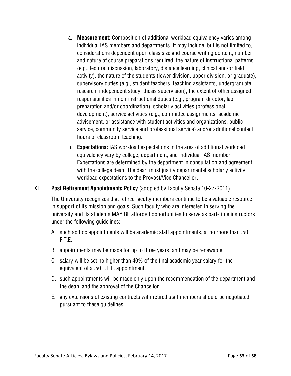- a. **Measurement:** Composition of additional workload equivalency varies among individual IAS members and departments. It may include, but is not limited to, considerations dependent upon class size and course writing content, number and nature of course preparations required, the nature of instructional patterns (e.g., lecture, discussion, laboratory, distance learning, clinical and/or field activity), the nature of the students (lower division, upper division, or graduate), supervisory duties (e.g., student teachers, teaching assistants, undergraduate research, independent study, thesis supervision), the extent of other assigned responsibilities in non-instructional duties (e.g., program director, lab preparation and/or coordination), scholarly activities (professional development), service activities (e.g., committee assignments, academic advisement, or assistance with student activities and organizations, public service, community service and professional service) and/or additional contact hours of classroom teaching.
- b. **Expectations:** IAS workload expectations in the area of additional workload equivalency vary by college, department, and individual IAS member. Expectations are determined by the department in consultation and agreement with the college dean. The dean must justify departmental scholarly activity workload expectations to the Provost/Vice Chancellor**.**

#### XI. **Post Retirement Appointments Policy** (adopted by Faculty Senate 10-27-2011)

The University recognizes that retired faculty members continue to be a valuable resource in support of its mission and goals. Such faculty who are interested in serving the university and its students MAY BE afforded opportunities to serve as part-time instructors under the following guidelines:

- A. such ad hoc appointments will be academic staff appointments, at no more than .50 F.T.E.
- B. appointments may be made for up to three years, and may be renewable.
- C. salary will be set no higher than 40% of the final academic year salary for the equivalent of a .50 F.T.E. appointment.
- D. such appointments will be made only upon the recommendation of the department and the dean, and the approval of the Chancellor.
- E. any extensions of existing contracts with retired staff members should be negotiated pursuant to these guidelines.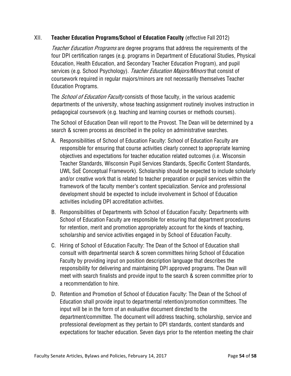#### XII. **Teacher Education Programs/School of Education Faculty** (effective Fall 2012)

Teacher Education Programs are degree programs that address the requirements of the four DPI certification ranges (e.g. programs in Department of Educational Studies, Physical Education, Health Education, and Secondary Teacher Education Program), and pupil services (e.g. School Psychology). Teacher Education Majors/Minors that consist of coursework required in regular majors/minors are not necessarily themselves Teacher Education Programs.

The *School of Education Faculty* consists of those faculty, in the various academic departments of the university, whose teaching assignment routinely involves instruction in pedagogical coursework (e.g. teaching and learning courses or methods courses).

The School of Education Dean will report to the Provost. The Dean will be determined by a search & screen process as described in the policy on administrative searches.

- A. Responsibilities of School of Education Faculty: School of Education Faculty are responsible for ensuring that course activities clearly connect to appropriate learning objectives and expectations for teacher education related outcomes (i.e. Wisconsin Teacher Standards, Wisconsin Pupil Services Standards, Specific Content Standards, UWL SoE Conceptual Framework). Scholarship should be expected to include scholarly and/or creative work that is related to teacher preparation or pupil services within the framework of the faculty member's content specialization. Service and professional development should be expected to include involvement in School of Education activities including DPI accreditation activities.
- B. Responsibilities of Departments with School of Education Faculty: Departments with School of Education Faculty are responsible for ensuring that department procedures for retention, merit and promotion appropriately account for the kinds of teaching, scholarship and service activities engaged in by School of Education Faculty.
- C. Hiring of School of Education Faculty: The Dean of the School of Education shall consult with departmental search & screen committees hiring School of Education Faculty by providing input on position description language that describes the responsibility for delivering and maintaining DPI approved programs. The Dean will meet with search finalists and provide input to the search & screen committee prior to a recommendation to hire.
- D. Retention and Promotion of School of Education Faculty: The Dean of the School of Education shall provide input to departmental retention/promotion committees. The input will be in the form of an evaluative document directed to the department/committee. The document will address teaching, scholarship, service and professional development as they pertain to DPI standards, content standards and expectations for teacher education. Seven days prior to the retention meeting the chair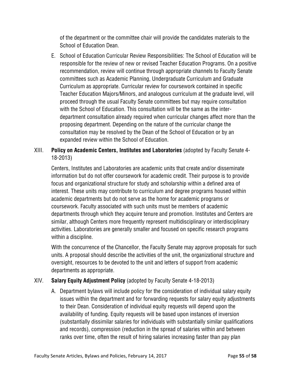of the department or the committee chair will provide the candidates materials to the School of Education Dean.

E. School of Education Curricular Review Responsibilities: The School of Education will be responsible for the review of new or revised Teacher Education Programs. On a positive recommendation, review will continue through appropriate channels to Faculty Senate committees such as Academic Planning, Undergraduate Curriculum and Graduate Curriculum as appropriate. Curricular review for coursework contained in specific Teacher Education Majors/Minors, and analogous curriculum at the graduate level, will proceed through the usual Faculty Senate committees but may require consultation with the School of Education. This consultation will be the same as the interdepartment consultation already required when curricular changes affect more than the proposing department. Depending on the nature of the curricular change the consultation may be resolved by the Dean of the School of Education or by an expanded review within the School of Education.

# XIII. **Policy on Academic Centers, Institutes and Laboratories** (adopted by Faculty Senate 4- 18-2013)

Centers, Institutes and Laboratories are academic units that create and/or disseminate information but do not offer coursework for academic credit. Their purpose is to provide focus and organizational structure for study and scholarship within a defined area of interest. These units may contribute to curriculum and degree programs housed within academic departments but do not serve as the home for academic programs or coursework. Faculty associated with such units must be members of academic departments through which they acquire tenure and promotion. Institutes and Centers are similar, although Centers more frequently represent multidisciplinary or interdisciplinary activities. Laboratories are generally smaller and focused on specific research programs within a discipline.

With the concurrence of the Chancellor, the Faculty Senate may approve proposals for such units. A proposal should describe the activities of the unit, the organizational structure and oversight, resources to be devoted to the unit and letters of support from academic departments as appropriate.

# XIV. **Salary Equity Adjustment Policy** (adopted by Faculty Senate 4-18-2013)

A. Department bylaws will include policy for the consideration of individual salary equity issues within the department and for forwarding requests for salary equity adjustments to their Dean. Consideration of individual equity requests will depend upon the availability of funding. Equity requests will be based upon instances of inversion (substantially dissimilar salaries for individuals with substantially similar qualifications and records), compression (reduction in the spread of salaries within and between ranks over time, often the result of hiring salaries increasing faster than pay plan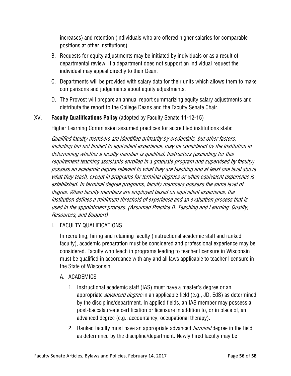increases) and retention (individuals who are offered higher salaries for comparable positions at other institutions).

- B. Requests for equity adjustments may be initiated by individuals or as a result of departmental review. If a department does not support an individual request the individual may appeal directly to their Dean.
- C. Departments will be provided with salary data for their units which allows them to make comparisons and judgements about equity adjustments.
- D. The Provost will prepare an annual report summarizing equity salary adjustments and distribute the report to the College Deans and the Faculty Senate Chair.

# XV. **Faculty Qualifications Policy** (adopted by Faculty Senate 11-12-15)

Higher Learning Commission assumed practices for accredited institutions state:

Qualified faculty members are identified primarily by credentials, but other factors, including but not limited to equivalent experience, may be considered by the institution in determining whether a faculty member is qualified. Instructors (excluding for this requirement teaching assistants enrolled in a graduate program and supervised by faculty) possess an academic degree relevant to what they are teaching and at least one level above what they teach, except in programs for terminal degrees or when equivalent experience is established. In terminal degree programs, faculty members possess the same level of degree. When faculty members are employed based on equivalent experience, the institution defines a minimum threshold of experience and an evaluation process that is used in the appointment process. (Assumed Practice B. Teaching and Learning: Quality, Resources, and Support)

#### I. FACULTY QUALIFICATIONS

In recruiting, hiring and retaining faculty (instructional academic staff and ranked faculty), academic preparation must be considered and professional experience may be considered. Faculty who teach in programs leading to teacher licensure in Wisconsin must be qualified in accordance with any and all laws applicable to teacher licensure in the State of Wisconsin.

#### A. ACADEMICS

- 1. Instructional academic staff (IAS) must have a master's degree or an appropriate *advanced degree* in an applicable field (e.g., JD, EdS) as determined by the discipline/department. In applied fields, an IAS member may possess a post-baccalaureate certification or licensure in addition to, or in place of, an advanced degree (e.g., accountancy, occupational therapy).
- 2. Ranked faculty must have an appropriate advanced *terminal* degree in the field as determined by the discipline/department. Newly hired faculty may be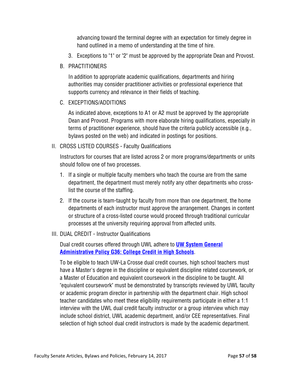advancing toward the terminal degree with an expectation for timely degree in hand outlined in a memo of understanding at the time of hire.

- 3. Exceptions to "1" or "2" must be approved by the appropriate Dean and Provost.
- B. PRACTITIONERS

In addition to appropriate academic qualifications, departments and hiring authorities may consider practitioner activities or professional experience that supports currency and relevance in their fields of teaching.

C. EXCEPTIONS/ADDITIONS

As indicated above, exceptions to A1 or A2 must be approved by the appropriate Dean and Provost. Programs with more elaborate hiring qualifications, especially in terms of practitioner experience, should have the criteria publicly accessible (e.g., bylaws posted on the web) and indicated in postings for positions.

II. CROSS LISTED COURSES - Faculty Qualifications

Instructors for courses that are listed across 2 or more programs/departments or units should follow one of two processes.

- 1. If a single or multiple faculty members who teach the course are from the same department, the department must merely notify any other departments who crosslist the course of the staffing.
- 2. If the course is team-taught by faculty from more than one department, the home departments of each instructor must approve the arrangement. Changes in content or structure of a cross-listed course would proceed through traditional curricular processes at the university requiring approval from affected units.
- III. DUAL CREDIT Instructor Qualifications

Dual credit courses offered through UWL adhere to **UW System General Administrative Policy G36: College Credit in High Schools**.

To be eligible to teach UW-La Crosse dual credit courses, high school teachers must have a Master's degree in the discipline or equivalent discipline related coursework, or a Master of Education and equivalent coursework in the discipline to be taught. All "equivalent coursework" must be demonstrated by transcripts reviewed by UWL faculty or academic program director in partnership with the department chair. High school teacher candidates who meet these eligibility requirements participate in either a 1:1 interview with the UWL dual credit faculty instructor or a group interview which may include school district, UWL academic department, and/or CEE representatives. Final selection of high school dual credit instructors is made by the academic department.